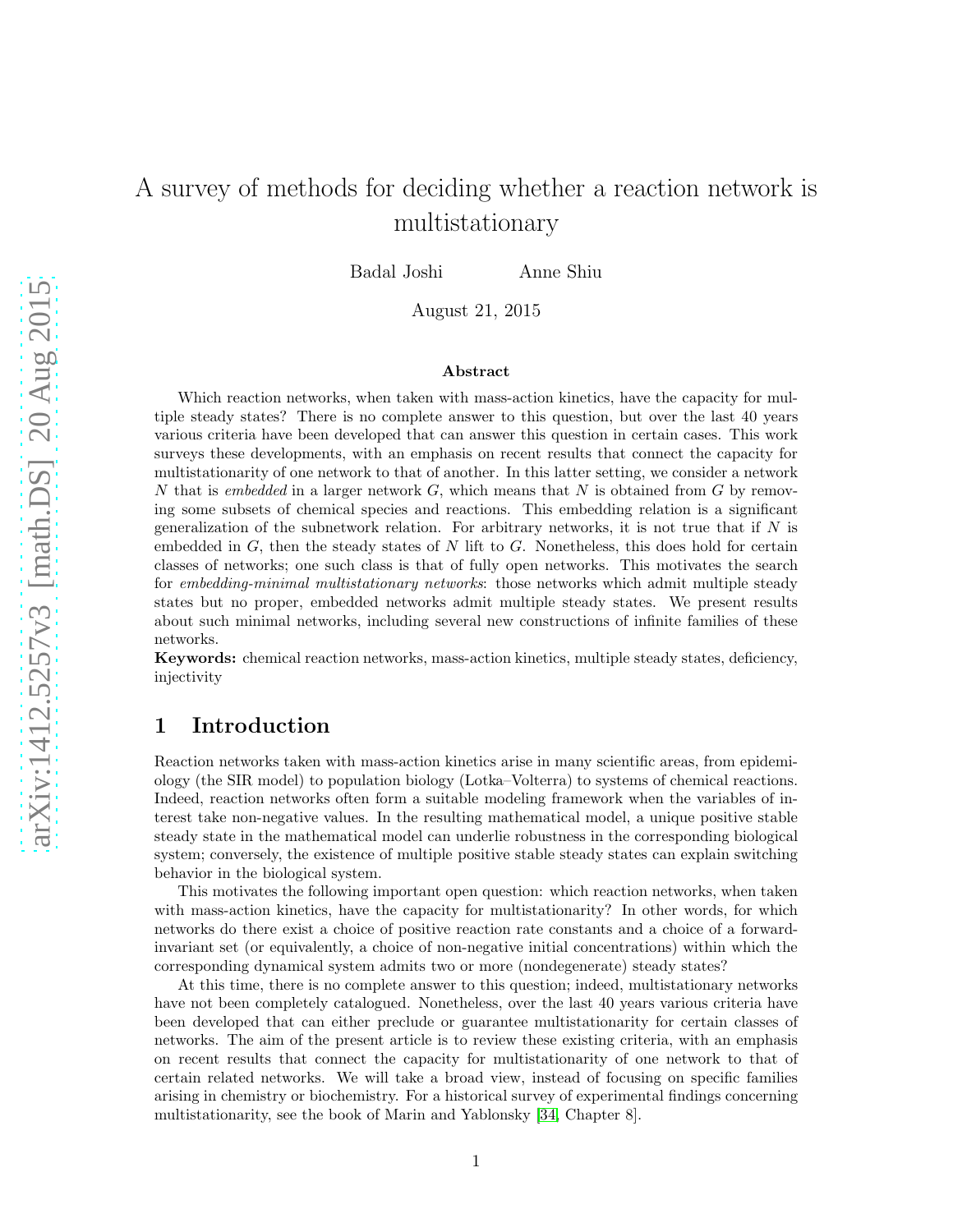# A survey of methods for deciding whether a reaction network is multistationary

Badal Joshi Anne Shiu

August 21, 2015

#### Abstract

Which reaction networks, when taken with mass-action kinetics, have the capacity for multiple steady states? There is no complete answer to this question, but over the last 40 years various criteria have been developed that can answer this question in certain cases. This work surveys these developments, with an emphasis on recent results that connect the capacity for multistationarity of one network to that of another. In this latter setting, we consider a network N that is embedded in a larger network  $G$ , which means that N is obtained from G by removing some subsets of chemical species and reactions. This embedding relation is a significant generalization of the subnetwork relation. For arbitrary networks, it is not true that if  $N$  is embedded in  $G$ , then the steady states of  $N$  lift to  $G$ . Nonetheless, this does hold for certain classes of networks; one such class is that of fully open networks. This motivates the search for embedding-minimal multistationary networks: those networks which admit multiple steady states but no proper, embedded networks admit multiple steady states. We present results about such minimal networks, including several new constructions of infinite families of these networks.

Keywords: chemical reaction networks, mass-action kinetics, multiple steady states, deficiency, injectivity

## 1 Introduction

Reaction networks taken with mass-action kinetics arise in many scientific areas, from epidemiology (the SIR model) to population biology (Lotka–Volterra) to systems of chemical reactions. Indeed, reaction networks often form a suitable modeling framework when the variables of interest take non-negative values. In the resulting mathematical model, a unique positive stable steady state in the mathematical model can underlie robustness in the corresponding biological system; conversely, the existence of multiple positive stable steady states can explain switching behavior in the biological system.

This motivates the following important open question: which reaction networks, when taken with mass-action kinetics, have the capacity for multistationarity? In other words, for which networks do there exist a choice of positive reaction rate constants and a choice of a forwardinvariant set (or equivalently, a choice of non-negative initial concentrations) within which the corresponding dynamical system admits two or more (nondegenerate) steady states?

At this time, there is no complete answer to this question; indeed, multistationary networks have not been completely catalogued. Nonetheless, over the last 40 years various criteria have been developed that can either preclude or guarantee multistationarity for certain classes of networks. The aim of the present article is to review these existing criteria, with an emphasis on recent results that connect the capacity for multistationarity of one network to that of certain related networks. We will take a broad view, instead of focusing on specific families arising in chemistry or biochemistry. For a historical survey of experimental findings concerning multistationarity, see the book of Marin and Yablonsky [\[34,](#page-21-0) Chapter 8].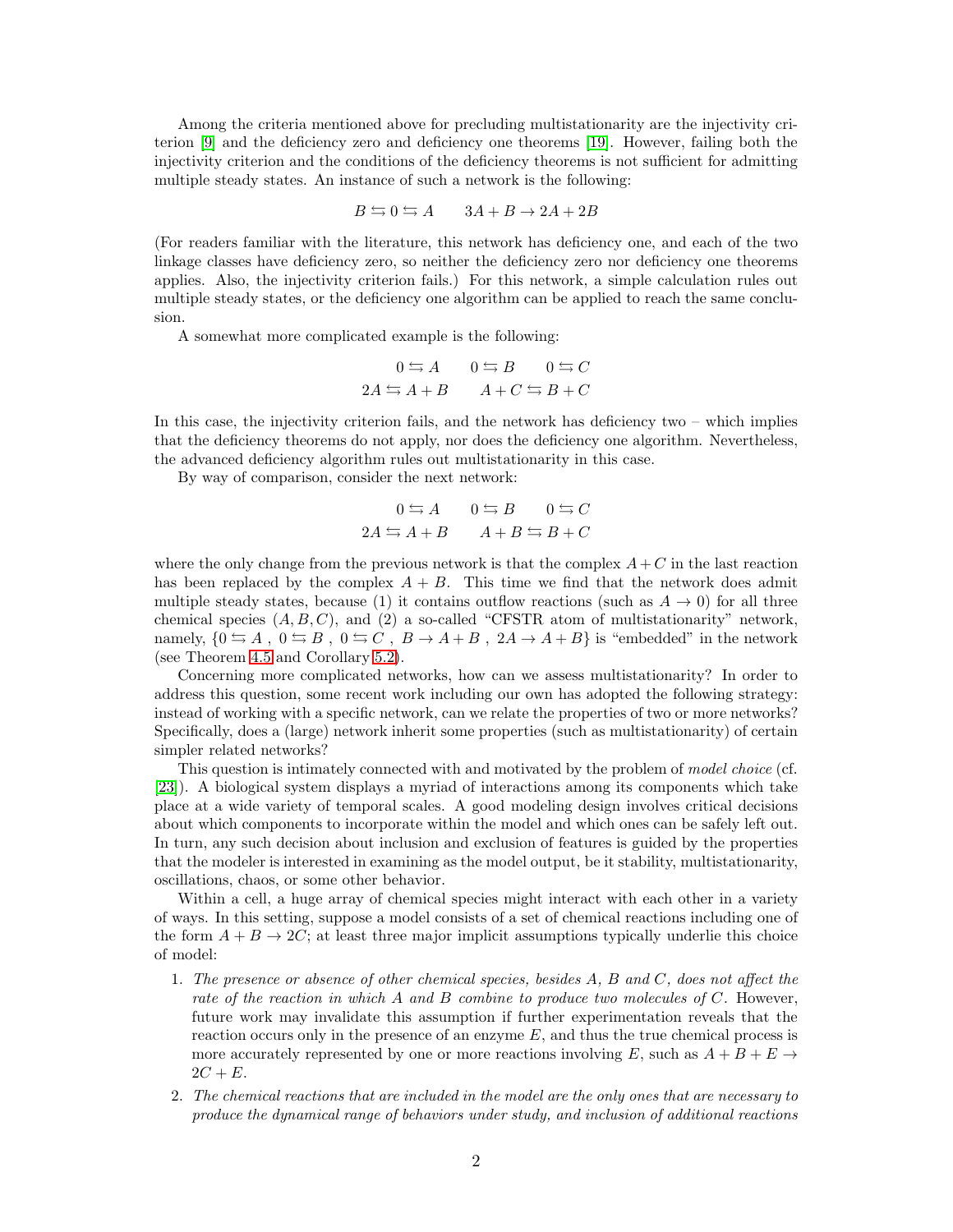Among the criteria mentioned above for precluding multistationarity are the injectivity criterion [\[9\]](#page-19-0) and the deficiency zero and deficiency one theorems [\[19\]](#page-20-0). However, failing both the injectivity criterion and the conditions of the deficiency theorems is not sufficient for admitting multiple steady states. An instance of such a network is the following:

$$
B \leftrightarrows 0 \leftrightarrows A \qquad 3A + B \to 2A + 2B
$$

(For readers familiar with the literature, this network has deficiency one, and each of the two linkage classes have deficiency zero, so neither the deficiency zero nor deficiency one theorems applies. Also, the injectivity criterion fails.) For this network, a simple calculation rules out multiple steady states, or the deficiency one algorithm can be applied to reach the same conclusion.

A somewhat more complicated example is the following:

$$
0 \leftrightarrows A \qquad 0 \leftrightarrows B \qquad 0 \leftrightarrows C
$$
  

$$
2A \leftrightarrows A + B \qquad A + C \leftrightarrows B + C
$$

In this case, the injectivity criterion fails, and the network has deficiency two – which implies that the deficiency theorems do not apply, nor does the deficiency one algorithm. Nevertheless, the advanced deficiency algorithm rules out multistationarity in this case.

By way of comparison, consider the next network:

$$
0 \leftrightarrows A \qquad 0 \leftrightarrows B \qquad 0 \leftrightarrows C
$$
  

$$
2A \leftrightarrows A + B \qquad A + B \leftrightarrows B + C
$$

where the only change from the previous network is that the complex  $A+C$  in the last reaction has been replaced by the complex  $A + B$ . This time we find that the network does admit multiple steady states, because (1) it contains outflow reactions (such as  $A \rightarrow 0$ ) for all three chemical species  $(A, B, C)$ , and  $(2)$  a so-called "CFSTR atom of multistationarity" network, namely,  $\{0 \leq A, 0 \leq B, 0 \leq C, B \to A + B, 2A \to A + B\}$  is "embedded" in the network (see Theorem [4.5](#page-8-0) and Corollary [5.2\)](#page-12-0).

Concerning more complicated networks, how can we assess multistationarity? In order to address this question, some recent work including our own has adopted the following strategy: instead of working with a specific network, can we relate the properties of two or more networks? Specifically, does a (large) network inherit some properties (such as multistationarity) of certain simpler related networks?

This question is intimately connected with and motivated by the problem of model choice (cf. [\[23\]](#page-20-1)). A biological system displays a myriad of interactions among its components which take place at a wide variety of temporal scales. A good modeling design involves critical decisions about which components to incorporate within the model and which ones can be safely left out. In turn, any such decision about inclusion and exclusion of features is guided by the properties that the modeler is interested in examining as the model output, be it stability, multistationarity, oscillations, chaos, or some other behavior.

Within a cell, a huge array of chemical species might interact with each other in a variety of ways. In this setting, suppose a model consists of a set of chemical reactions including one of the form  $A + B \rightarrow 2C$ ; at least three major implicit assumptions typically underlie this choice of model:

- 1. The presence or absence of other chemical species, besides A, B and C, does not affect the rate of the reaction in which  $A$  and  $B$  combine to produce two molecules of  $C$ . However, future work may invalidate this assumption if further experimentation reveals that the reaction occurs only in the presence of an enzyme  $E$ , and thus the true chemical process is more accurately represented by one or more reactions involving E, such as  $A + B + E \rightarrow$  $2C + E$ .
- 2. The chemical reactions that are included in the model are the only ones that are necessary to produce the dynamical range of behaviors under study, and inclusion of additional reactions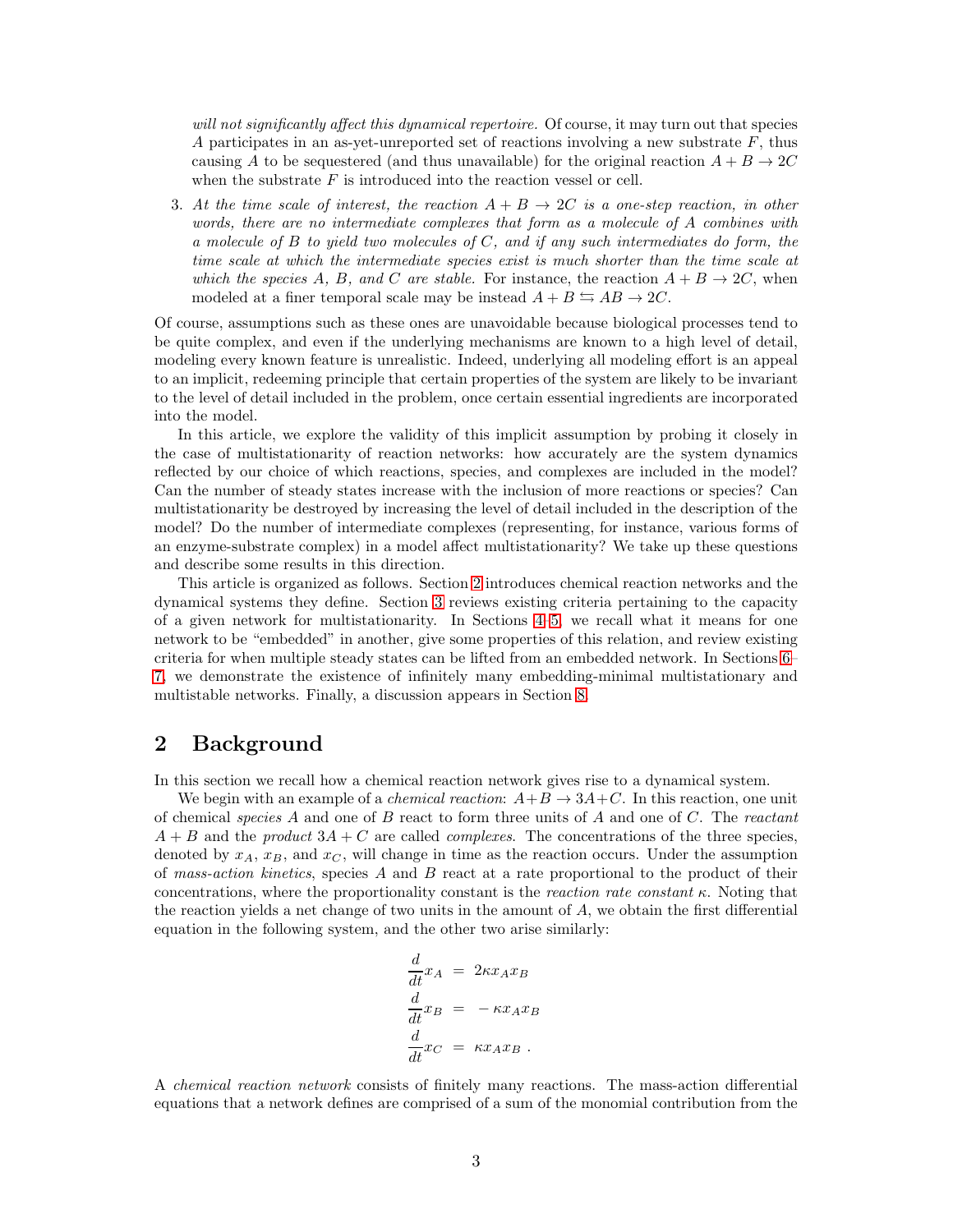will not significantly affect this dynamical repertoire. Of course, it may turn out that species A participates in an as-yet-unreported set of reactions involving a new substrate  $F$ , thus causing A to be sequestered (and thus unavailable) for the original reaction  $A + B \rightarrow 2C$ when the substrate  $F$  is introduced into the reaction vessel or cell.

3. At the time scale of interest, the reaction  $A + B \rightarrow 2C$  is a one-step reaction, in other words, there are no intermediate complexes that form as a molecule of A combines with a molecule of  $B$  to yield two molecules of  $C$ , and if any such intermediates do form, the time scale at which the intermediate species exist is much shorter than the time scale at which the species A, B, and C are stable. For instance, the reaction  $A + B \rightarrow 2C$ , when modeled at a finer temporal scale may be instead  $A + B \leftrightarrows AB \rightarrow 2C$ .

Of course, assumptions such as these ones are unavoidable because biological processes tend to be quite complex, and even if the underlying mechanisms are known to a high level of detail, modeling every known feature is unrealistic. Indeed, underlying all modeling effort is an appeal to an implicit, redeeming principle that certain properties of the system are likely to be invariant to the level of detail included in the problem, once certain essential ingredients are incorporated into the model.

In this article, we explore the validity of this implicit assumption by probing it closely in the case of multistationarity of reaction networks: how accurately are the system dynamics reflected by our choice of which reactions, species, and complexes are included in the model? Can the number of steady states increase with the inclusion of more reactions or species? Can multistationarity be destroyed by increasing the level of detail included in the description of the model? Do the number of intermediate complexes (representing, for instance, various forms of an enzyme-substrate complex) in a model affect multistationarity? We take up these questions and describe some results in this direction.

This article is organized as follows. Section [2](#page-2-0) introduces chemical reaction networks and the dynamical systems they define. Section [3](#page-5-0) reviews existing criteria pertaining to the capacity of a given network for multistationarity. In Sections [4](#page-7-0)[–5,](#page-11-0) we recall what it means for one network to be "embedded" in another, give some properties of this relation, and review existing criteria for when multiple steady states can be lifted from an embedded network. In Sections [6–](#page-13-0) [7,](#page-17-0) we demonstrate the existence of infinitely many embedding-minimal multistationary and multistable networks. Finally, a discussion appears in Section [8.](#page-17-1)

## <span id="page-2-0"></span>2 Background

In this section we recall how a chemical reaction network gives rise to a dynamical system.

We begin with an example of a *chemical reaction:*  $A+B \to 3A+C$ . In this reaction, one unit of chemical species A and one of B react to form three units of A and one of C. The reactant  $A + B$  and the product  $3A + C$  are called *complexes*. The concentrations of the three species, denoted by  $x_A$ ,  $x_B$ , and  $x_C$ , will change in time as the reaction occurs. Under the assumption of mass-action kinetics, species  $A$  and  $B$  react at a rate proportional to the product of their concentrations, where the proportionality constant is the reaction rate constant  $\kappa$ . Noting that the reaction yields a net change of two units in the amount of  $A$ , we obtain the first differential equation in the following system, and the other two arise similarly:

$$
\frac{d}{dt}x_A = 2\kappa x_A x_B
$$

$$
\frac{d}{dt}x_B = -\kappa x_A x_B
$$

$$
\frac{d}{dt}x_C = \kappa x_A x_B.
$$

A chemical reaction network consists of finitely many reactions. The mass-action differential equations that a network defines are comprised of a sum of the monomial contribution from the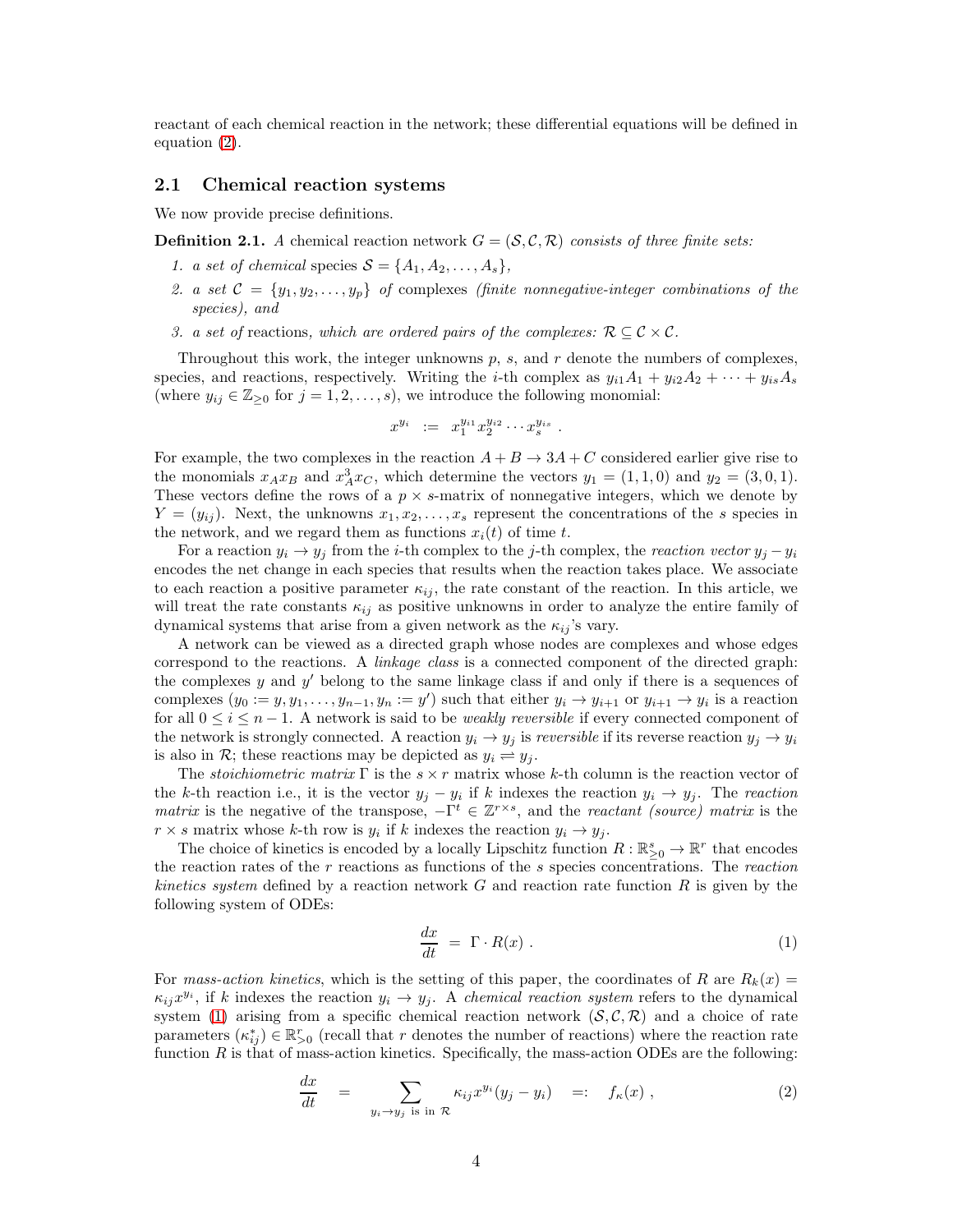reactant of each chemical reaction in the network; these differential equations will be defined in equation [\(2\)](#page-3-0).

#### 2.1 Chemical reaction systems

We now provide precise definitions.

**Definition 2.1.** A chemical reaction network  $G = (\mathcal{S}, \mathcal{C}, \mathcal{R})$  consists of three finite sets:

- 1. a set of chemical species  $S = \{A_1, A_2, \ldots, A_s\},\$
- 2. a set  $\mathcal{C} = \{y_1, y_2, \ldots, y_p\}$  of complexes (finite nonnegative-integer combinations of the species), and
- 3. a set of reactions, which are ordered pairs of the complexes:  $\mathcal{R} \subseteq \mathcal{C} \times \mathcal{C}$ .

Throughout this work, the integer unknowns  $p$ ,  $s$ , and  $r$  denote the numbers of complexes, species, and reactions, respectively. Writing the *i*-th complex as  $y_{i1}A_1 + y_{i2}A_2 + \cdots + y_{is}A_s$ (where  $y_{ij} \in \mathbb{Z}_{\geq 0}$  for  $j = 1, 2, ..., s$ ), we introduce the following monomial:

$$
x^{y_i} := x_1^{y_{i1}} x_2^{y_{i2}} \cdots x_s^{y_{is}}.
$$

For example, the two complexes in the reaction  $A + B \rightarrow 3A + C$  considered earlier give rise to the monomials  $x_A x_B$  and  $x_A^3 x_C$ , which determine the vectors  $y_1 = (1, 1, 0)$  and  $y_2 = (3, 0, 1)$ . These vectors define the rows of a  $p \times s$ -matrix of nonnegative integers, which we denote by  $Y = (y_{ij})$ . Next, the unknowns  $x_1, x_2, \ldots, x_s$  represent the concentrations of the s species in the network, and we regard them as functions  $x_i(t)$  of time t.

For a reaction  $y_i \rightarrow y_j$  from the *i*-th complex to the *j*-th complex, the *reaction vector*  $y_j - y_i$ encodes the net change in each species that results when the reaction takes place. We associate to each reaction a positive parameter  $\kappa_{ij}$ , the rate constant of the reaction. In this article, we will treat the rate constants  $\kappa_{ij}$  as positive unknowns in order to analyze the entire family of dynamical systems that arise from a given network as the  $\kappa_{ij}$ 's vary.

A network can be viewed as a directed graph whose nodes are complexes and whose edges correspond to the reactions. A linkage class is a connected component of the directed graph: the complexes  $y$  and  $y'$  belong to the same linkage class if and only if there is a sequences of complexes  $(y_0 := y, y_1, \ldots, y_{n-1}, y_n := y')$  such that either  $y_i \to y_{i+1}$  or  $y_{i+1} \to y_i$  is a reaction for all  $0 \leq i \leq n-1$ . A network is said to be *weakly reversible* if every connected component of the network is strongly connected. A reaction  $y_i \to y_j$  is *reversible* if its reverse reaction  $y_j \to y_i$ is also in  $\mathcal{R}$ ; these reactions may be depicted as  $y_i \rightleftharpoons y_j$ .

The *stoichiometric matrix*  $\Gamma$  is the  $s \times r$  matrix whose k-th column is the reaction vector of the k-th reaction i.e., it is the vector  $y_j - y_i$  if k indexes the reaction  $y_i \to y_j$ . The reaction *matrix* is the negative of the transpose,  $-\Gamma^t \in \mathbb{Z}^{r \times s}$ , and the *reactant* (source) matrix is the  $r \times s$  matrix whose k-th row is  $y_i$  if k indexes the reaction  $y_i \to y_j$ .

The choice of kinetics is encoded by a locally Lipschitz function  $R: \mathbb{R}^s_{\geq 0} \to \mathbb{R}^r$  that encodes the reaction rates of the r reactions as functions of the s species concentrations. The reaction *kinetics system* defined by a reaction network G and reaction rate function R is given by the following system of ODEs:

<span id="page-3-1"></span><span id="page-3-0"></span>
$$
\frac{dx}{dt} = \Gamma \cdot R(x) \tag{1}
$$

For mass-action kinetics, which is the setting of this paper, the coordinates of R are  $R_k(x)$  =  $\kappa_{ij}x^{y_i}$ , if k indexes the reaction  $y_i \to y_j$ . A *chemical reaction system* refers to the dynamical system [\(1\)](#page-3-1) arising from a specific chemical reaction network  $(S, \mathcal{C}, \mathcal{R})$  and a choice of rate parameters  $(\kappa_{ij}^*) \in \mathbb{R}_{\geq 0}^r$  (recall that r denotes the number of reactions) where the reaction rate function  $R$  is that of mass-action kinetics. Specifically, the mass-action ODEs are the following:

$$
\frac{dx}{dt} = \sum_{y_i \to y_j \text{ is in } \mathcal{R}} \kappa_{ij} x^{y_i} (y_j - y_i) =: f_{\kappa}(x) , \qquad (2)
$$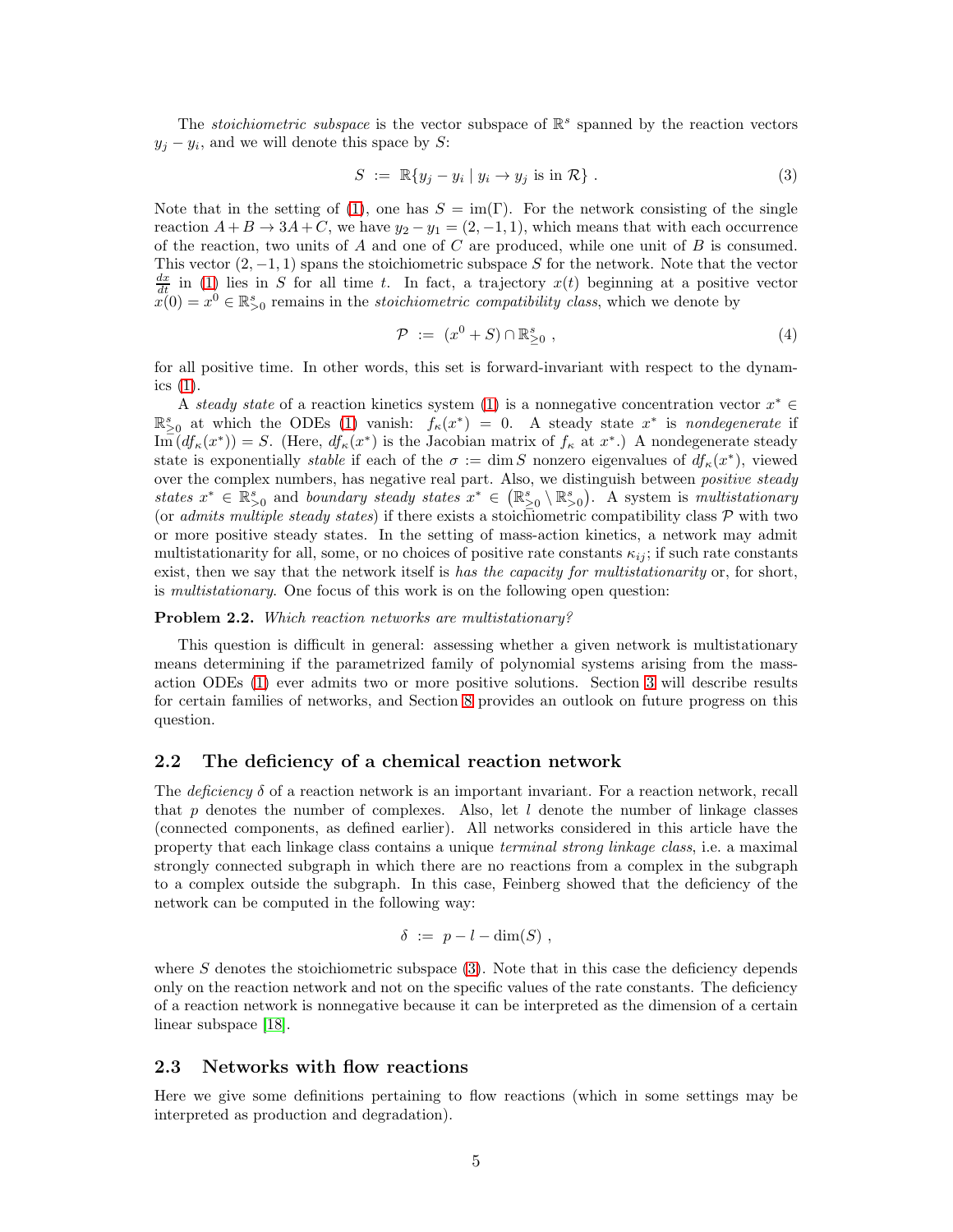The *stoichiometric subspace* is the vector subspace of  $\mathbb{R}^s$  spanned by the reaction vectors  $y_j - y_i$ , and we will denote this space by S:

<span id="page-4-0"></span>
$$
S := \mathbb{R}\{y_j - y_i \mid y_i \to y_j \text{ is in } \mathcal{R}\}.
$$
 (3)

Note that in the setting of [\(1\)](#page-3-1), one has  $S = \text{im}(\Gamma)$ . For the network consisting of the single reaction  $A + B \rightarrow 3A + C$ , we have  $y_2 - y_1 = (2, -1, 1)$ , which means that with each occurrence of the reaction, two units of  $A$  and one of  $C$  are produced, while one unit of  $B$  is consumed. This vector  $(2, -1, 1)$  spans the stoichiometric subspace S for the network. Note that the vector  $\frac{dx}{dt}$  in [\(1\)](#page-3-1) lies in S for all time t. In fact, a trajectory  $x(t)$  beginning at a positive vector  $x(0) = x^0 \in \mathbb{R}^s_{>0}$  remains in the *stoichiometric compatibility class*, which we denote by

$$
\mathcal{P} := (x^0 + S) \cap \mathbb{R}^s_{\geq 0} , \qquad (4)
$$

for all positive time. In other words, this set is forward-invariant with respect to the dynamics  $(1)$ .

A steady state of a reaction kinetics system [\(1\)](#page-3-1) is a nonnegative concentration vector  $x^* \in$  $\mathbb{R}^s_{\geq 0}$  at which the ODEs [\(1\)](#page-3-1) vanish:  $f_{\kappa}(x^*) = 0$ . A steady state  $x^*$  is nondegenerate if  $\overline{\text{Im}}(df_{\kappa}(x^*)) = S.$  (Here,  $df_{\kappa}(x^*)$  is the Jacobian matrix of  $f_{\kappa}$  at  $x^*$ .) A nondegenerate steady state is exponentially *stable* if each of the  $\sigma := \dim S$  nonzero eigenvalues of  $df_{\kappa}(x^*)$ , viewed over the complex numbers, has negative real part. Also, we distinguish between *positive steady* states  $x^* \in \mathbb{R}^s_{>0}$  and boundary steady states  $x^* \in (\mathbb{R}^s_{\geq 0} \setminus \mathbb{R}^s_{>0})$ . A system is multistationary (or *admits multiple steady states*) if there exists a stoichiometric compatibility class  $\mathcal{P}$  with two or more positive steady states. In the setting of mass-action kinetics, a network may admit multistationarity for all, some, or no choices of positive rate constants  $\kappa_{ij}$ ; if such rate constants exist, then we say that the network itself is has the capacity for multistationarity or, for short, is multistationary. One focus of this work is on the following open question:

#### Problem 2.2. Which reaction networks are multistationary?

This question is difficult in general: assessing whether a given network is multistationary means determining if the parametrized family of polynomial systems arising from the massaction ODEs [\(1\)](#page-3-1) ever admits two or more positive solutions. Section [3](#page-5-0) will describe results for certain families of networks, and Section [8](#page-17-1) provides an outlook on future progress on this question.

#### 2.2 The deficiency of a chemical reaction network

The deficiency  $\delta$  of a reaction network is an important invariant. For a reaction network, recall that  $p$  denotes the number of complexes. Also, let  $l$  denote the number of linkage classes (connected components, as defined earlier). All networks considered in this article have the property that each linkage class contains a unique terminal strong linkage class, i.e. a maximal strongly connected subgraph in which there are no reactions from a complex in the subgraph to a complex outside the subgraph. In this case, Feinberg showed that the deficiency of the network can be computed in the following way:

$$
\delta \ := \ p - l - \dim(S) \ ,
$$

where  $S$  denotes the stoichiometric subspace  $(3)$ . Note that in this case the deficiency depends only on the reaction network and not on the specific values of the rate constants. The deficiency of a reaction network is nonnegative because it can be interpreted as the dimension of a certain linear subspace [\[18\]](#page-20-2).

#### 2.3 Networks with flow reactions

Here we give some definitions pertaining to flow reactions (which in some settings may be interpreted as production and degradation).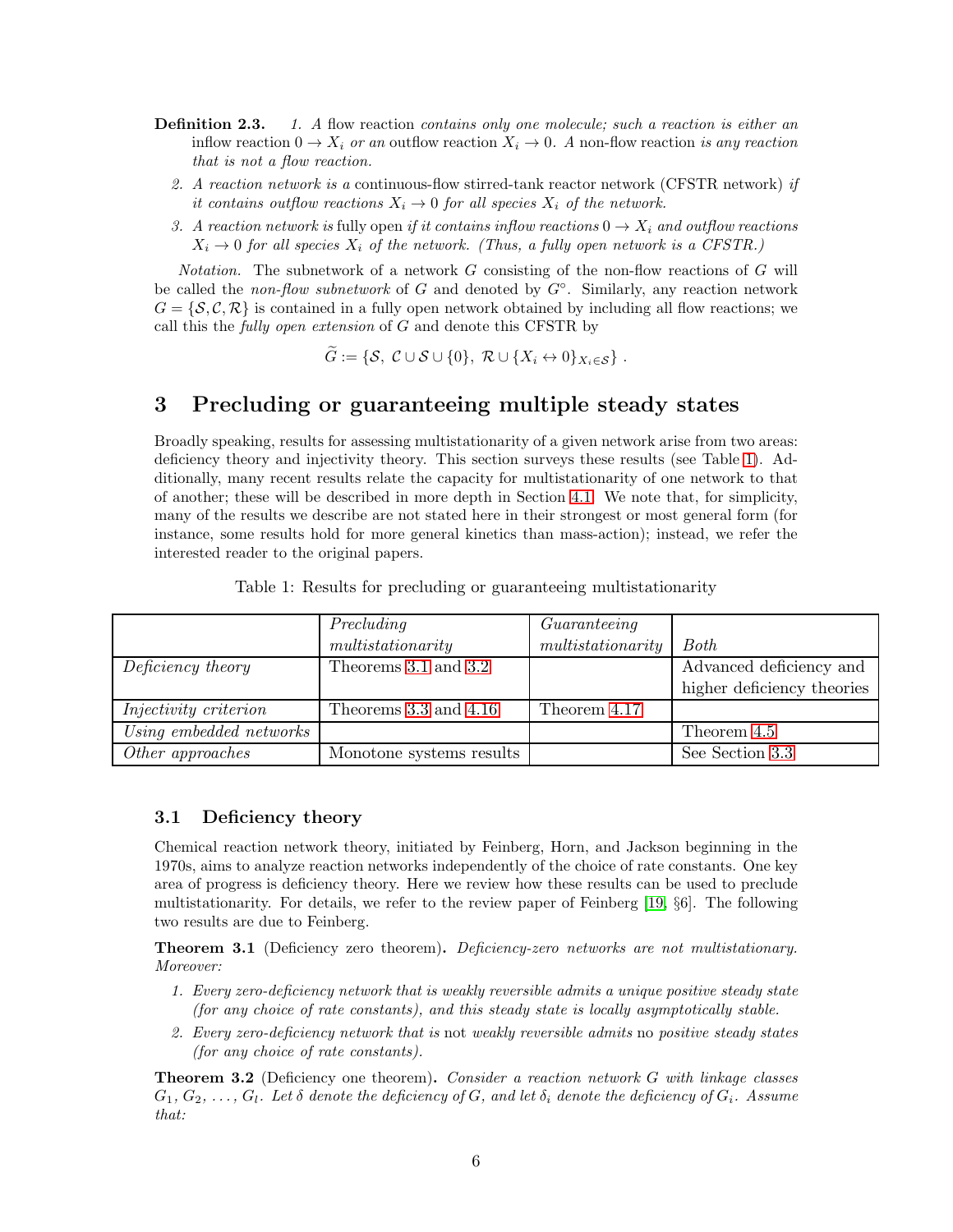- **Definition 2.3.** 1. A flow reaction contains only one molecule; such a reaction is either an inflow reaction  $0 \to X_i$  or an outflow reaction  $X_i \to 0$ . A non-flow reaction is any reaction that is not a flow reaction.
	- 2. A reaction network is a continuous-flow stirred-tank reactor network (CFSTR network) if it contains outflow reactions  $X_i \to 0$  for all species  $X_i$  of the network.
	- 3. A reaction network is fully open if it contains inflow reactions  $0 \to X_i$  and outflow reactions  $X_i \rightarrow 0$  for all species  $X_i$  of the network. (Thus, a fully open network is a CFSTR.)

*Notation.* The subnetwork of a network  $G$  consisting of the non-flow reactions of  $G$  will be called the non-flow subnetwork of G and denoted by  $G^{\circ}$ . Similarly, any reaction network  $G = \{S, \mathcal{C}, \mathcal{R}\}\$ is contained in a fully open network obtained by including all flow reactions; we call this the *fully open extension* of  $G$  and denote this CFSTR by

 $\widetilde{G} := \{ \mathcal{S}, \mathcal{C} \cup \mathcal{S} \cup \{0\}, \mathcal{R} \cup \{X_i \leftrightarrow 0\}_{X_i \in \mathcal{S}} \}.$ 

## <span id="page-5-0"></span>3 Precluding or guaranteeing multiple steady states

Broadly speaking, results for assessing multistationarity of a given network arise from two areas: deficiency theory and injectivity theory. This section surveys these results (see Table [1\)](#page-5-1). Additionally, many recent results relate the capacity for multistationarity of one network to that of another; these will be described in more depth in Section [4.1.](#page-8-1) We note that, for simplicity, many of the results we describe are not stated here in their strongest or most general form (for instance, some results hold for more general kinetics than mass-action); instead, we refer the interested reader to the original papers.

<span id="page-5-1"></span>

|                              | Precluding               | Guaranteeing      |                            |
|------------------------------|--------------------------|-------------------|----------------------------|
|                              | multistationarity        | multistationarity | <i>Both</i>                |
| Deficiency theory            | Theorems 3.1 and 3.2     |                   | Advanced deficiency and    |
|                              |                          |                   | higher deficiency theories |
| <i>Injectivity criterion</i> | Theorems 3.3 and 4.16    | Theorem 4.17      |                            |
| Using embedded networks      |                          |                   | Theorem 4.5                |
| Other approaches             | Monotone systems results |                   | See Section 3.3            |

Table 1: Results for precluding or guaranteeing multistationarity

#### 3.1 Deficiency theory

Chemical reaction network theory, initiated by Feinberg, Horn, and Jackson beginning in the 1970s, aims to analyze reaction networks independently of the choice of rate constants. One key area of progress is deficiency theory. Here we review how these results can be used to preclude multistationarity. For details, we refer to the review paper of Feinberg [\[19,](#page-20-0) §6]. The following two results are due to Feinberg.

<span id="page-5-2"></span>**Theorem 3.1** (Deficiency zero theorem). Deficiency-zero networks are not multistationary. Moreover:

- 1. Every zero-deficiency network that is weakly reversible admits a unique positive steady state (for any choice of rate constants), and this steady state is locally asymptotically stable.
- 2. Every zero-deficiency network that is not weakly reversible admits no positive steady states (for any choice of rate constants).

<span id="page-5-3"></span>Theorem 3.2 (Deficiency one theorem). Consider a reaction network G with linkage classes  $G_1, G_2, \ldots, G_l$ . Let  $\delta$  denote the deficiency of G, and let  $\delta_i$  denote the deficiency of  $G_i$ . Assume that: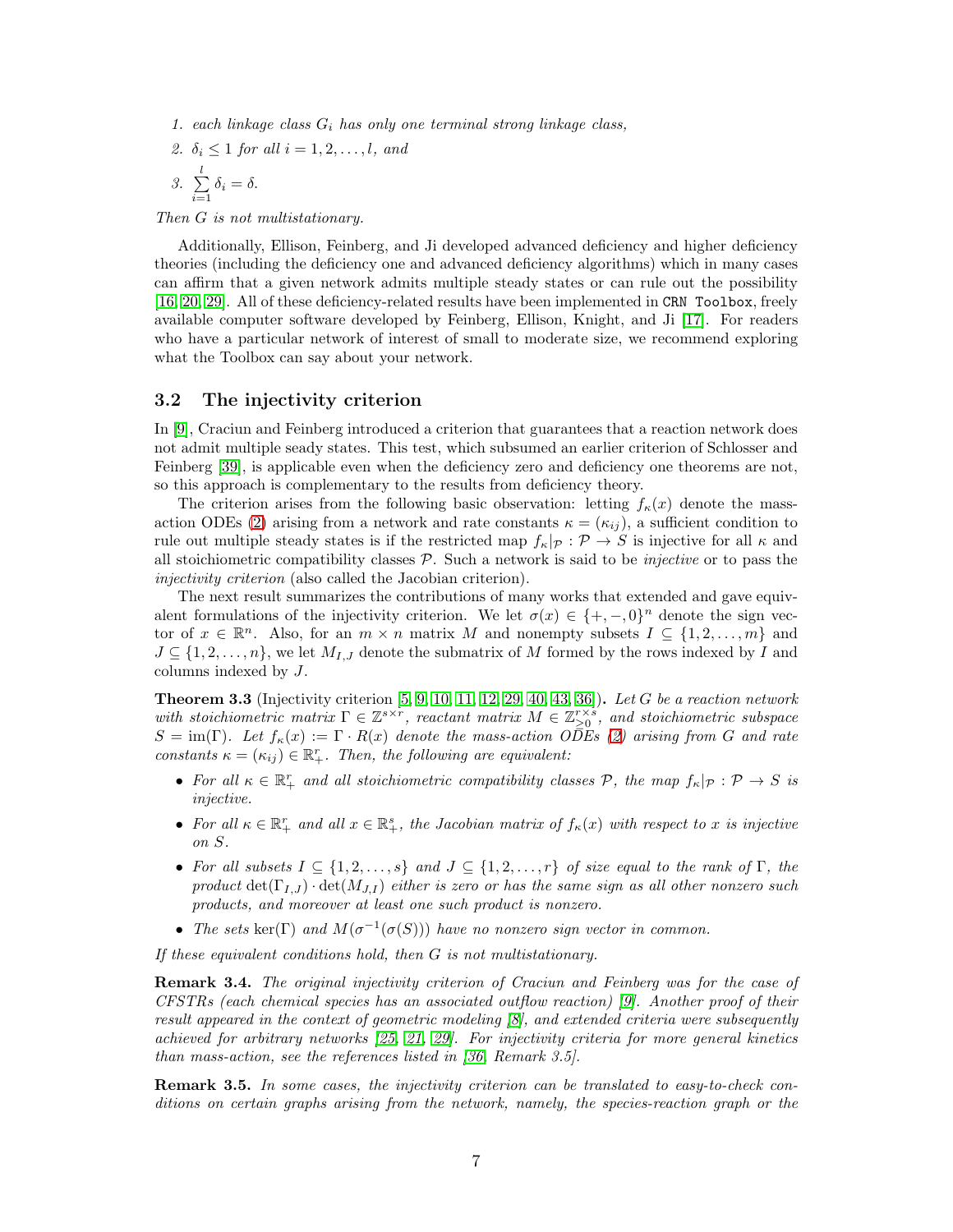1. each linkage class  $G_i$  has only one terminal strong linkage class,

2. 
$$
\delta_i \leq 1
$$
 for all  $i = 1, 2, ..., l$ , and

$$
\beta. \sum_{i=1}^{l} \delta_i = \delta.
$$

Then G is not multistationary.

Additionally, Ellison, Feinberg, and Ji developed advanced deficiency and higher deficiency theories (including the deficiency one and advanced deficiency algorithms) which in many cases can affirm that a given network admits multiple steady states or can rule out the possibility [\[16,](#page-20-3) [20,](#page-20-4) [29\]](#page-20-5). All of these deficiency-related results have been implemented in CRN Toolbox, freely available computer software developed by Feinberg, Ellison, Knight, and Ji [\[17\]](#page-20-6). For readers who have a particular network of interest of small to moderate size, we recommend exploring what the Toolbox can say about your network.

#### 3.2 The injectivity criterion

In [\[9\]](#page-19-0), Craciun and Feinberg introduced a criterion that guarantees that a reaction network does not admit multiple seady states. This test, which subsumed an earlier criterion of Schlosser and Feinberg [\[39\]](#page-21-1), is applicable even when the deficiency zero and deficiency one theorems are not, so this approach is complementary to the results from deficiency theory.

The criterion arises from the following basic observation: letting  $f_k(x)$  denote the mass-action ODEs [\(2\)](#page-3-0) arising from a network and rate constants  $\kappa = (\kappa_{ij})$ , a sufficient condition to rule out multiple steady states is if the restricted map  $f_{\kappa}|_{\mathcal{P}} : \mathcal{P} \to S$  is injective for all  $\kappa$  and all stoichiometric compatibility classes  $P$ . Such a network is said to be *injective* or to pass the injectivity criterion (also called the Jacobian criterion).

The next result summarizes the contributions of many works that extended and gave equivalent formulations of the injectivity criterion. We let  $\sigma(x) \in \{+, -, 0\}^n$  denote the sign vector of  $x \in \mathbb{R}^n$ . Also, for an  $m \times n$  matrix M and nonempty subsets  $I \subseteq \{1, 2, ..., m\}$  and  $J \subseteq \{1, 2, \ldots, n\}$ , we let  $M_{I,J}$  denote the submatrix of M formed by the rows indexed by I and columns indexed by J.

<span id="page-6-0"></span>**Theorem 3.3** (Injectivity criterion  $[5, 9, 10, 11, 12, 29, 40, 43, 36]$  $[5, 9, 10, 11, 12, 29, 40, 43, 36]$  $[5, 9, 10, 11, 12, 29, 40, 43, 36]$  $[5, 9, 10, 11, 12, 29, 40, 43, 36]$  $[5, 9, 10, 11, 12, 29, 40, 43, 36]$  $[5, 9, 10, 11, 12, 29, 40, 43, 36]$  $[5, 9, 10, 11, 12, 29, 40, 43, 36]$  $[5, 9, 10, 11, 12, 29, 40, 43, 36]$  $[5, 9, 10, 11, 12, 29, 40, 43, 36]$ ). Let G be a reaction network with stoichiometric matrix  $\Gamma \in \mathbb{Z}^{s \times r}$ , reactant matrix  $M \in \mathbb{Z}_{\geq 0}^{r \times s}$ , and stoichiometric subspace  $S = \text{im}(\Gamma)$ . Let  $f_{\kappa}(x) := \Gamma \cdot R(x)$  denote the mass-action  $\overline{ODEs}$  [\(2\)](#page-3-0) arising from G and rate constants  $\kappa = (\kappa_{ij}) \in \mathbb{R}^r_+$ . Then, the following are equivalent:

- For all  $\kappa \in \mathbb{R}_+^r$  and all stoichiometric compatibility classes  $\mathcal{P}$ , the map  $f_{\kappa}|_{\mathcal{P}} : \mathcal{P} \to S$  is injective.
- For all  $\kappa \in \mathbb{R}_+^r$  and all  $x \in \mathbb{R}_+^s$ , the Jacobian matrix of  $f_{\kappa}(x)$  with respect to x is injective on S.
- For all subsets  $I \subseteq \{1, 2, ..., s\}$  and  $J \subseteq \{1, 2, ..., r\}$  of size equal to the rank of  $\Gamma$ , the product  $\det(\Gamma_{I,J}) \cdot \det(M_{J,I})$  either is zero or has the same sign as all other nonzero such products, and moreover at least one such product is nonzero.
- The sets ker(Γ) and  $M(\sigma^{-1}(\sigma(S)))$  have no nonzero sign vector in common.

If these equivalent conditions hold, then G is not multistationary.

Remark 3.4. The original injectivity criterion of Craciun and Feinberg was for the case of CFSTRs (each chemical species has an associated outflow reaction) [\[9\]](#page-19-0). Another proof of their result appeared in the context of geometric modeling [\[8\]](#page-19-2), and extended criteria were subsequently achieved for arbitrary networks [\[25,](#page-20-10) [21,](#page-20-11) [29\]](#page-20-5). For injectivity criteria for more general kinetics than mass-action, see the references listed in [\[36,](#page-21-4) Remark 3.5].

Remark 3.5. In some cases, the injectivity criterion can be translated to easy-to-check conditions on certain graphs arising from the network, namely, the species-reaction graph or the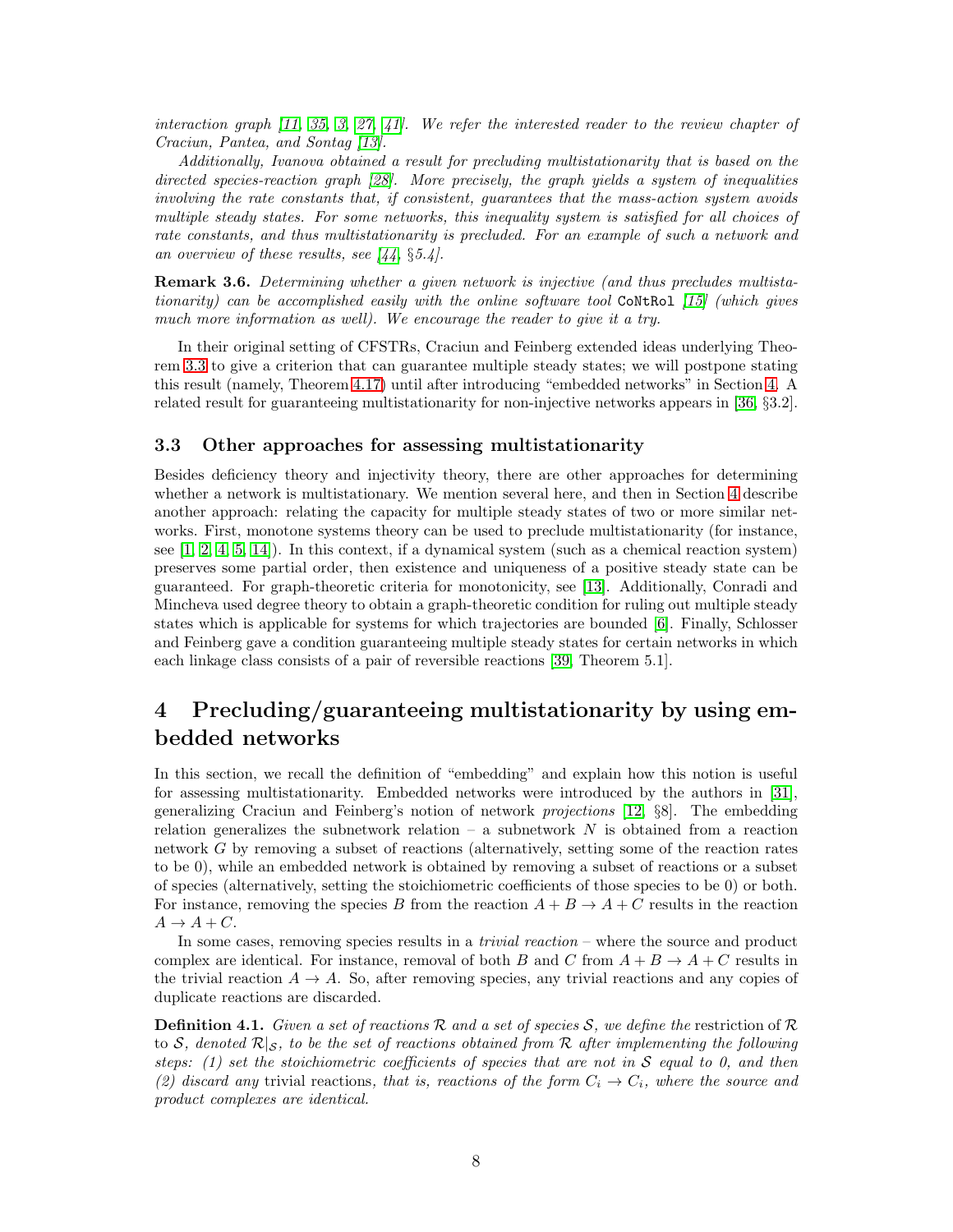interaction graph [\[11,](#page-20-8) [35,](#page-21-5) [3,](#page-19-3) [27,](#page-20-12) [41\]](#page-21-6). We refer the interested reader to the review chapter of Craciun, Pantea, and Sontag [\[13\]](#page-20-13).

Additionally, Ivanova obtained a result for precluding multistationarity that is based on the directed species-reaction graph [\[28\]](#page-20-14). More precisely, the graph yields a system of inequalities involving the rate constants that, if consistent, guarantees that the mass-action system avoids multiple steady states. For some networks, this inequality system is satisfied for all choices of rate constants, and thus multistationarity is precluded. For an example of such a network and an overview of these results, see  $\begin{bmatrix} 44, \S 5.4 \end{bmatrix}$ .

Remark 3.6. Determining whether a given network is injective (and thus precludes multistationarity) can be accomplished easily with the online software tool CoNtRol  $[15]$  (which gives much more information as well). We encourage the reader to give it a try.

In their original setting of CFSTRs, Craciun and Feinberg extended ideas underlying Theorem [3.3](#page-6-0) to give a criterion that can guarantee multiple steady states; we will postpone stating this result (namely, Theorem [4.17\)](#page-11-2) until after introducing "embedded networks" in Section [4.](#page-7-0) A related result for guaranteeing multistationarity for non-injective networks appears in [\[36,](#page-21-4) §3.2].

#### <span id="page-7-1"></span>3.3 Other approaches for assessing multistationarity

Besides deficiency theory and injectivity theory, there are other approaches for determining whether a network is multistationary. We mention several here, and then in Section [4](#page-7-0) describe another approach: relating the capacity for multiple steady states of two or more similar networks. First, monotone systems theory can be used to preclude multistationarity (for instance, see  $[1, 2, 4, 5, 14]$  $[1, 2, 4, 5, 14]$  $[1, 2, 4, 5, 14]$  $[1, 2, 4, 5, 14]$  $[1, 2, 4, 5, 14]$ . In this context, if a dynamical system (such as a chemical reaction system) preserves some partial order, then existence and uniqueness of a positive steady state can be guaranteed. For graph-theoretic criteria for monotonicity, see [\[13\]](#page-20-13). Additionally, Conradi and Mincheva used degree theory to obtain a graph-theoretic condition for ruling out multiple steady states which is applicable for systems for which trajectories are bounded [\[6\]](#page-19-7). Finally, Schlosser and Feinberg gave a condition guaranteeing multiple steady states for certain networks in which each linkage class consists of a pair of reversible reactions [\[39,](#page-21-1) Theorem 5.1].

# <span id="page-7-0"></span>4 Precluding/guaranteeing multistationarity by using embedded networks

In this section, we recall the definition of "embedding" and explain how this notion is useful for assessing multistationarity. Embedded networks were introduced by the authors in [\[31\]](#page-21-8), generalizing Craciun and Feinberg's notion of network projections [\[12,](#page-20-9) §8]. The embedding relation generalizes the subnetwork relation – a subnetwork  $N$  is obtained from a reaction network G by removing a subset of reactions (alternatively, setting some of the reaction rates to be 0), while an embedded network is obtained by removing a subset of reactions or a subset of species (alternatively, setting the stoichiometric coefficients of those species to be 0) or both. For instance, removing the species B from the reaction  $A + B \rightarrow A + C$  results in the reaction  $A \rightarrow A + C$ .

In some cases, removing species results in a *trivial reaction* – where the source and product complex are identical. For instance, removal of both B and C from  $A + B \to A + C$  results in the trivial reaction  $A \to A$ . So, after removing species, any trivial reactions and any copies of duplicate reactions are discarded.

**Definition 4.1.** Given a set of reactions R and a set of species S, we define the restriction of R to S, denoted  $\mathcal{R}|_{\mathcal{S}}$ , to be the set of reactions obtained from R after implementing the following steps: (1) set the stoichiometric coefficients of species that are not in  $S$  equal to 0, and then (2) discard any trivial reactions, that is, reactions of the form  $C_i \rightarrow C_i$ , where the source and product complexes are identical.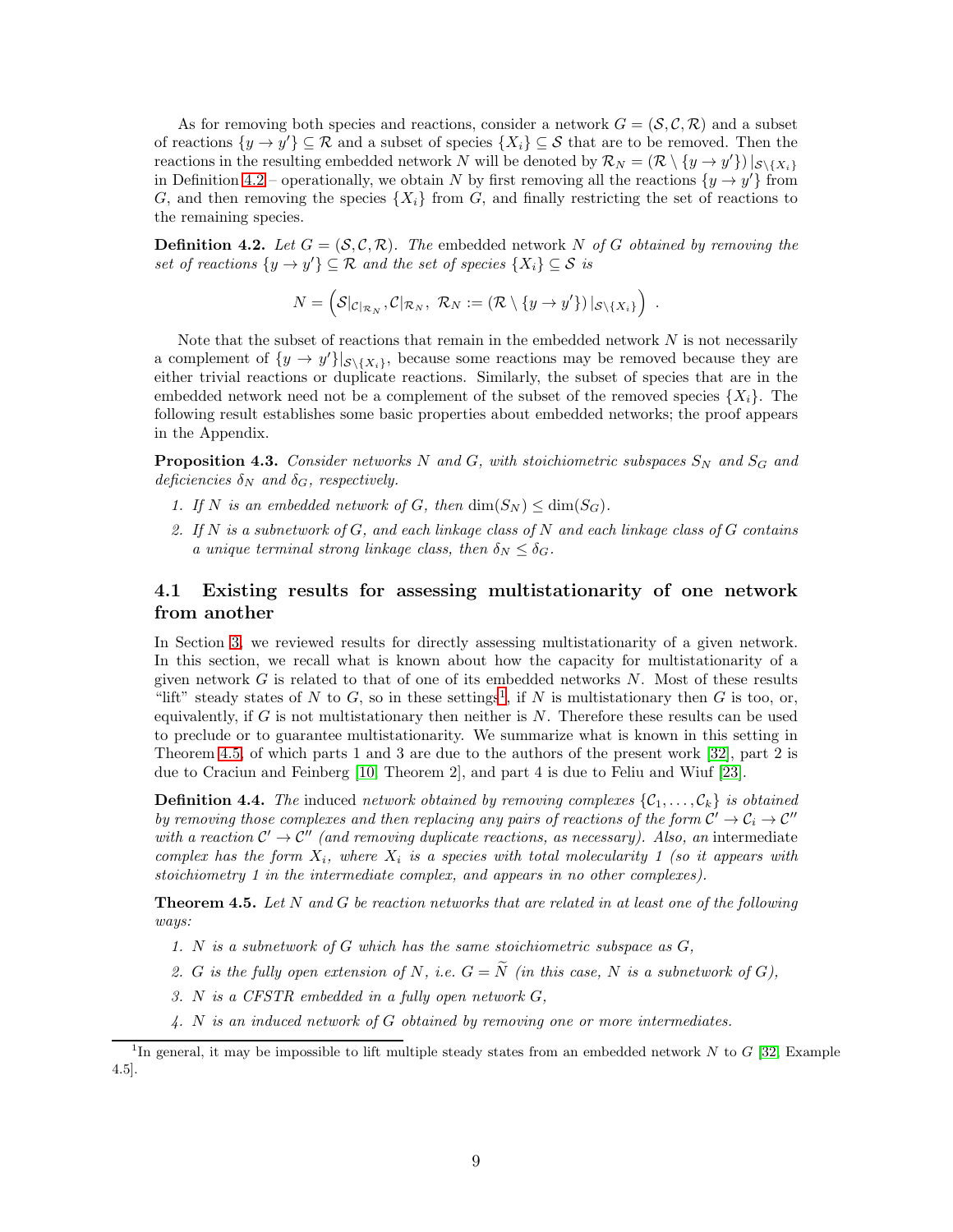As for removing both species and reactions, consider a network  $G = (\mathcal{S}, \mathcal{C}, \mathcal{R})$  and a subset of reactions  $\{y \to y'\} \subseteq \mathcal{R}$  and a subset of species  $\{X_i\} \subseteq \mathcal{S}$  that are to be removed. Then the reactions in the resulting embedded network N will be denoted by  $\mathcal{R}_N = (\mathcal{R} \setminus \{y \to y'\})|_{\mathcal{S} \setminus \{X_i\}}$ in Definition [4.2](#page-8-2) – operationally, we obtain N by first removing all the reactions  $\{y \rightarrow y'\}$  from G, and then removing the species  $\{X_i\}$  from G, and finally restricting the set of reactions to the remaining species.

<span id="page-8-2"></span>**Definition 4.2.** Let  $G = (\mathcal{S}, \mathcal{C}, \mathcal{R})$ . The embedded network N of G obtained by removing the set of reactions  $\{y \to y'\} \subseteq \mathcal{R}$  and the set of species  $\{X_i\} \subseteq \mathcal{S}$  is

$$
N = \Big( \mathcal{S}|_{\mathcal{C}|\mathcal{R}_N}, \mathcal{C}|_{\mathcal{R}_N}, \ \mathcal{R}_N := (\mathcal{R} \setminus \{y \to y'\})|_{\mathcal{S} \setminus \{X_i\}} \Big) \ .
$$

Note that the subset of reactions that remain in the embedded network  $N$  is not necessarily a complement of  $\{y \to y'\} |_{\mathcal{S}\backslash \{X_i\}}$ , because some reactions may be removed because they are either trivial reactions or duplicate reactions. Similarly, the subset of species that are in the embedded network need not be a complement of the subset of the removed species  $\{X_i\}$ . The following result establishes some basic properties about embedded networks; the proof appears in the Appendix.

<span id="page-8-4"></span>**Proposition 4.3.** Consider networks N and G, with stoichiometric subspaces  $S_N$  and  $S_G$  and deficiencies  $\delta_N$  and  $\delta_G$ , respectively.

- 1. If N is an embedded network of G, then  $\dim(S_N) \leq \dim(S_G)$ .
- 2. If N is a subnetwork of G, and each linkage class of N and each linkage class of G contains a unique terminal strong linkage class, then  $\delta_N \leq \delta_G$ .

## <span id="page-8-1"></span>4.1 Existing results for assessing multistationarity of one network from another

In Section [3,](#page-5-0) we reviewed results for directly assessing multistationarity of a given network. In this section, we recall what is known about how the capacity for multistationarity of a given network  $G$  is related to that of one of its embedded networks  $N$ . Most of these results "lift" steady states of N to G, so in these settings<sup>[1](#page-8-3)</sup>, if N is multistationary then G is too, or, equivalently, if  $G$  is not multistationary then neither is  $N$ . Therefore these results can be used to preclude or to guarantee multistationarity. We summarize what is known in this setting in Theorem [4.5,](#page-8-0) of which parts 1 and 3 are due to the authors of the present work [\[32\]](#page-21-9), part 2 is due to Craciun and Feinberg [\[10,](#page-20-7) Theorem 2], and part 4 is due to Feliu and Wiuf [\[23\]](#page-20-1).

**Definition 4.4.** The induced network obtained by removing complexes  $\{\mathcal{C}_1, \ldots, \mathcal{C}_k\}$  is obtained by removing those complexes and then replacing any pairs of reactions of the form  $C' \to C_i \to C''$ with a reaction  $\mathcal{C}' \to \mathcal{C}''$  (and removing duplicate reactions, as necessary). Also, an intermediate complex has the form  $X_i$ , where  $X_i$  is a species with total molecularity 1 (so it appears with stoichiometry 1 in the intermediate complex, and appears in no other complexes).

<span id="page-8-0"></span>**Theorem 4.5.** Let N and G be reaction networks that are related in at least one of the following ways:

- 1. N is a subnetwork of  $G$  which has the same stoichiometric subspace as  $G$ ,
- 2. G is the fully open extension of N, i.e.  $G = \widetilde{N}$  (in this case, N is a subnetwork of G),
- 3. N is a CFSTR embedded in a fully open network G,
- 4. N is an induced network of G obtained by removing one or more intermediates.

<span id="page-8-3"></span><sup>&</sup>lt;sup>1</sup>In general, it may be impossible to lift multiple steady states from an embedded network N to G [\[32,](#page-21-9) Example 4.5].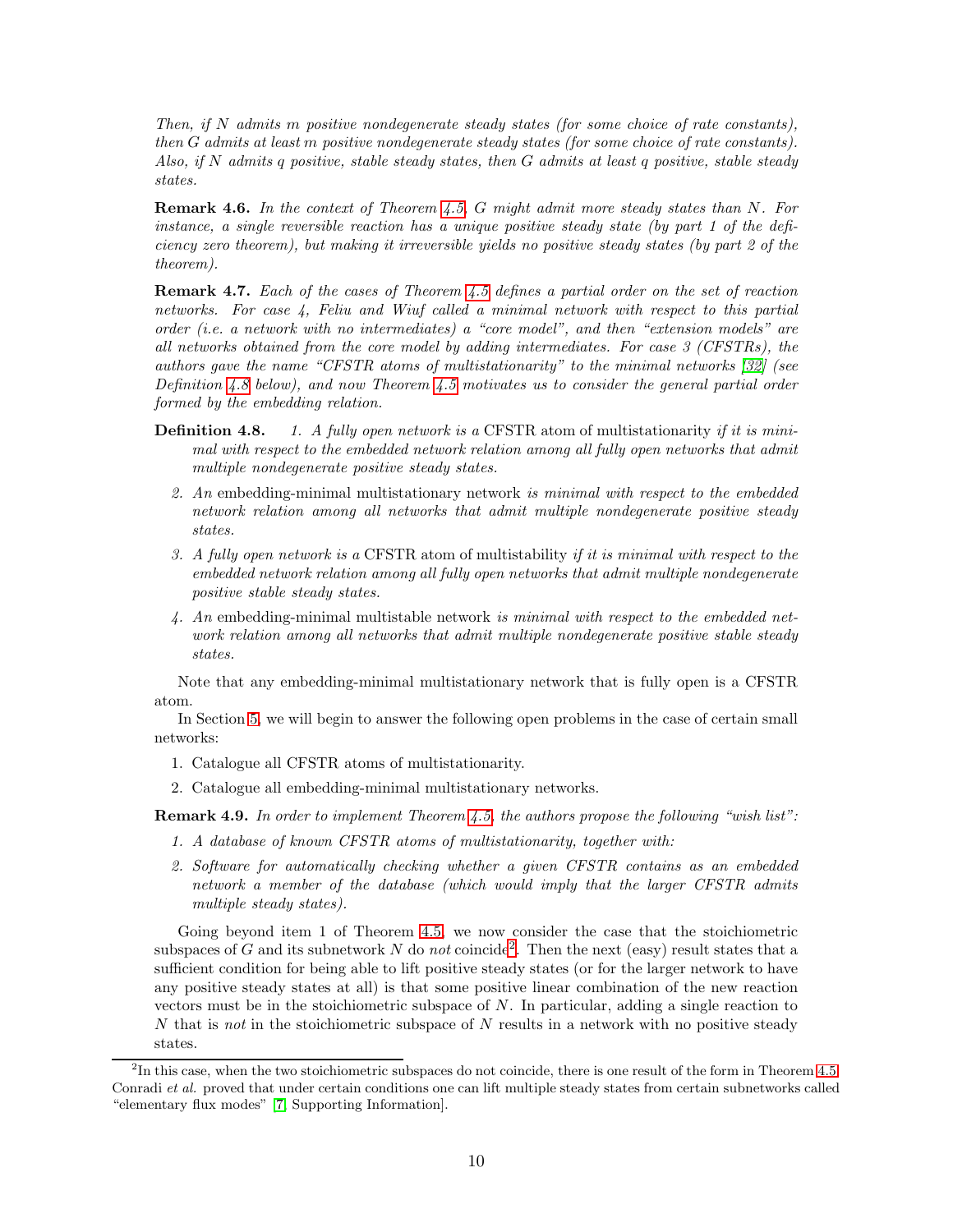Then, if  $N$  admits m positive nondegenerate steady states (for some choice of rate constants), then G admits at least m positive nondegenerate steady states (for some choice of rate constants). Also, if N admits q positive, stable steady states, then  $G$  admits at least q positive, stable steady states.

Remark 4.6. In the context of Theorem [4.5,](#page-8-0) G might admit more steady states than N. For instance, a single reversible reaction has a unique positive steady state (by part 1 of the deficiency zero theorem), but making it irreversible yields no positive steady states (by part 2 of the theorem).

<span id="page-9-1"></span>Remark 4.7. Each of the cases of Theorem [4.5](#page-8-0) defines a partial order on the set of reaction networks. For case 4, Feliu and Wiuf called a minimal network with respect to this partial order (i.e. a network with no intermediates) a "core model", and then "extension models" are all networks obtained from the core model by adding intermediates. For case 3 (CFSTRs), the authors gave the name "CFSTR atoms of multistationarity" to the minimal networks [\[32\]](#page-21-9) (see Definition 4.8 below), and now Theorem [4.5](#page-8-0) motivates us to consider the general partial order formed by the embedding relation.

- **Definition 4.8.** 1. A fully open network is a CFSTR atom of multistationarity if it is minimal with respect to the embedded network relation among all fully open networks that admit multiple nondegenerate positive steady states.
	- 2. An embedding-minimal multistationary network is minimal with respect to the embedded network relation among all networks that admit multiple nondegenerate positive steady states.
	- 3. A fully open network is a CFSTR atom of multistability if it is minimal with respect to the embedded network relation among all fully open networks that admit multiple nondegenerate positive stable steady states.
	- 4. An embedding-minimal multistable network is minimal with respect to the embedded network relation among all networks that admit multiple nondegenerate positive stable steady states.

Note that any embedding-minimal multistationary network that is fully open is a CFSTR atom.

In Section [5,](#page-11-0) we will begin to answer the following open problems in the case of certain small networks:

- 1. Catalogue all CFSTR atoms of multistationarity.
- 2. Catalogue all embedding-minimal multistationary networks.

Remark 4.9. In order to implement Theorem [4.5,](#page-8-0) the authors propose the following "wish list":

- 1. A database of known CFSTR atoms of multistationarity, together with:
- 2. Software for automatically checking whether a given CFSTR contains as an embedded network a member of the database (which would imply that the larger CFSTR admits multiple steady states).

Going beyond item 1 of Theorem [4.5,](#page-8-0) we now consider the case that the stoichiometric subspaces of G and its subnetwork N do not coincide<sup>[2](#page-9-0)</sup>. Then the next (easy) result states that a sufficient condition for being able to lift positive steady states (or for the larger network to have any positive steady states at all) is that some positive linear combination of the new reaction vectors must be in the stoichiometric subspace of  $N$ . In particular, adding a single reaction to  $N$  that is not in the stoichiometric subspace of  $N$  results in a network with no positive steady states.

<span id="page-9-0"></span> $2<sup>2</sup>$ In this case, when the two stoichiometric subspaces do not coincide, there is one result of the form in Theorem [4.5:](#page-8-0) Conradi et al. proved that under certain conditions one can lift multiple steady states from certain subnetworks called "elementary flux modes" [\[7,](#page-19-8) Supporting Information].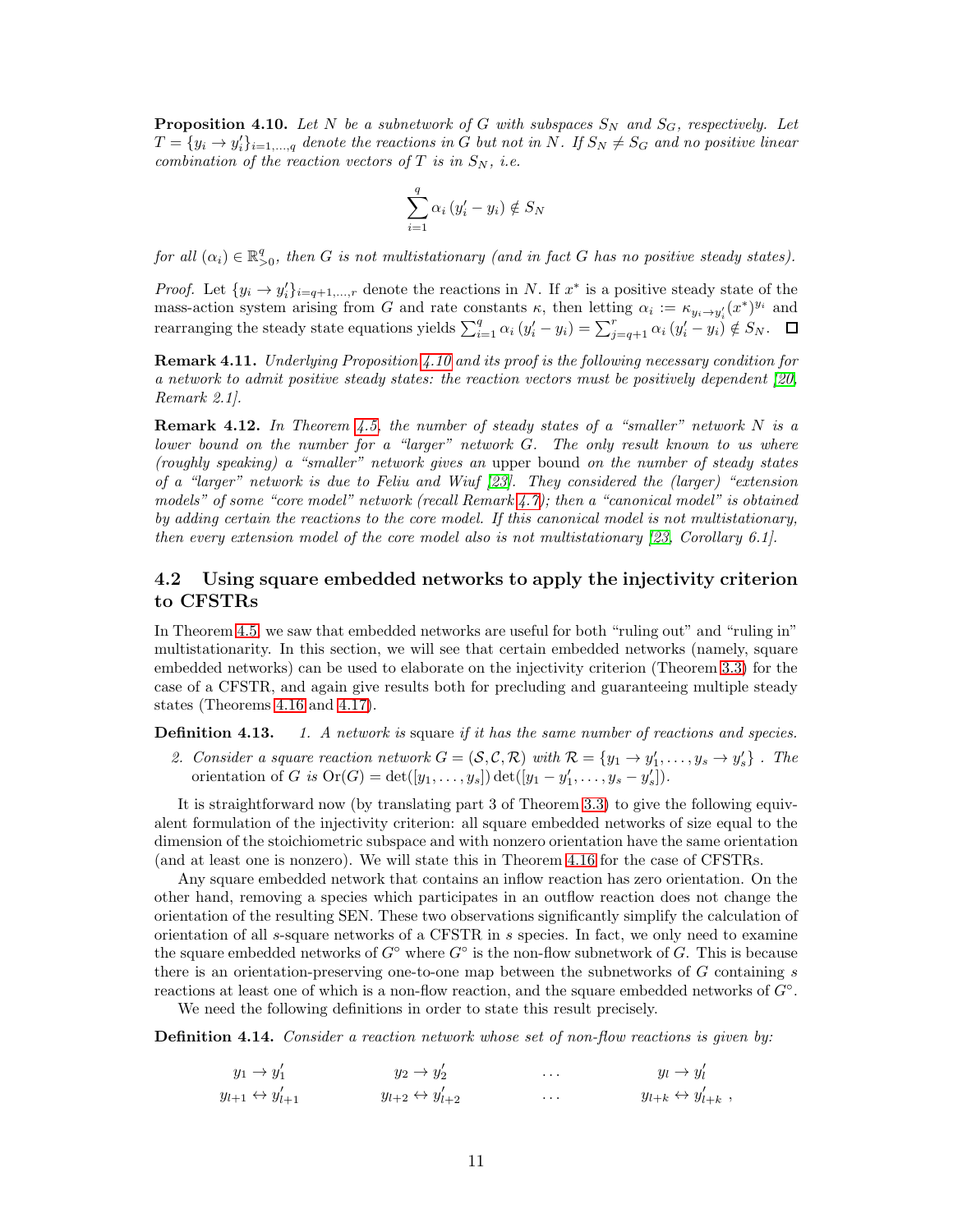<span id="page-10-0"></span>**Proposition 4.10.** Let N be a subnetwork of G with subspaces  $S_N$  and  $S_G$ , respectively. Let  $T = \{y_i \to y'_i\}_{i=1,\dots,q}$  denote the reactions in G but not in N. If  $S_N \neq S_G$  and no positive linear combination of the reaction vectors of T is in  $S_N$ , i.e.

$$
\sum_{i=1}^{q} \alpha_i (y'_i - y_i) \notin S_N
$$

for all  $(\alpha_i) \in \mathbb{R}_{>0}^q$ , then G is not multistationary (and in fact G has no positive steady states).

*Proof.* Let  $\{y_i \rightarrow y'_i\}_{i=q+1,\dots,r}$  denote the reactions in N. If  $x^*$  is a positive steady state of the mass-action system arising from G and rate constants  $\kappa$ , then letting  $\alpha_i := \kappa_{y_i \to y'_i}(x^*)^{y_i}$  and rearranging the steady state equations yields  $\sum_{i=1}^{q} \alpha_i (y'_i - y_i) = \sum_{j=q+1}^{r} \alpha_i (y'_i - y_i) \notin S_N$ .

Remark 4.11. Underlying Proposition [4.10](#page-10-0) and its proof is the following necessary condition for a network to admit positive steady states: the reaction vectors must be positively dependent [\[20,](#page-20-4) Remark 2.1].

**Remark 4.12.** In Theorem [4.5,](#page-8-0) the number of steady states of a "smaller" network N is a lower bound on the number for a "larger" network G. The only result known to us where (roughly speaking) a "smaller" network gives an upper bound on the number of steady states of a "larger" network is due to Feliu and Wiuf [\[23\]](#page-20-1). They considered the (larger) "extension models" of some "core model" network (recall Remark [4.7\)](#page-9-1); then a "canonical model" is obtained by adding certain the reactions to the core model. If this canonical model is not multistationary, then every extension model of the core model also is not multistationary [\[23,](#page-20-1) Corollary 6.1].

### 4.2 Using square embedded networks to apply the injectivity criterion to CFSTRs

In Theorem [4.5,](#page-8-0) we saw that embedded networks are useful for both "ruling out" and "ruling in" multistationarity. In this section, we will see that certain embedded networks (namely, square embedded networks) can be used to elaborate on the injectivity criterion (Theorem [3.3\)](#page-6-0) for the case of a CFSTR, and again give results both for precluding and guaranteeing multiple steady states (Theorems [4.16](#page-11-1) and [4.17\)](#page-11-2).

**Definition 4.13.** 1. A network is square if it has the same number of reactions and species.

2. Consider a square reaction network  $G = (\mathcal{S}, \mathcal{C}, \mathcal{R})$  with  $\mathcal{R} = \{y_1 \to y'_1, \dots, y_s \to y'_s\}$ . The orientation of G is  $Or(G) = det([y_1, ..., y_s]) det([y_1 - y'_1, ..., y_s - y'_s]).$ 

It is straightforward now (by translating part 3 of Theorem [3.3\)](#page-6-0) to give the following equivalent formulation of the injectivity criterion: all square embedded networks of size equal to the dimension of the stoichiometric subspace and with nonzero orientation have the same orientation (and at least one is nonzero). We will state this in Theorem [4.16](#page-11-1) for the case of CFSTRs.

Any square embedded network that contains an inflow reaction has zero orientation. On the other hand, removing a species which participates in an outflow reaction does not change the orientation of the resulting SEN. These two observations significantly simplify the calculation of orientation of all s-square networks of a CFSTR in s species. In fact, we only need to examine the square embedded networks of  $G^{\circ}$  where  $G^{\circ}$  is the non-flow subnetwork of G. This is because there is an orientation-preserving one-to-one map between the subnetworks of  $G$  containing  $s$ reactions at least one of which is a non-flow reaction, and the square embedded networks of  $G^{\circ}$ .

We need the following definitions in order to state this result precisely.

Definition 4.14. Consider a reaction network whose set of non-flow reactions is given by:

$$
y_1 \to y_1'
$$
  
\n
$$
y_1 \to y_1'
$$
  
\n
$$
y_2 \to y_2'
$$
  
\n...  
\n
$$
y_l \to y_l'
$$
  
\n
$$
y_{l+1} \leftrightarrow y_{l+1}'
$$
  
\n...  
\n
$$
y_l \to y_l'
$$
  
\n...  
\n
$$
y_{l+1} \leftrightarrow y_{l+1}'
$$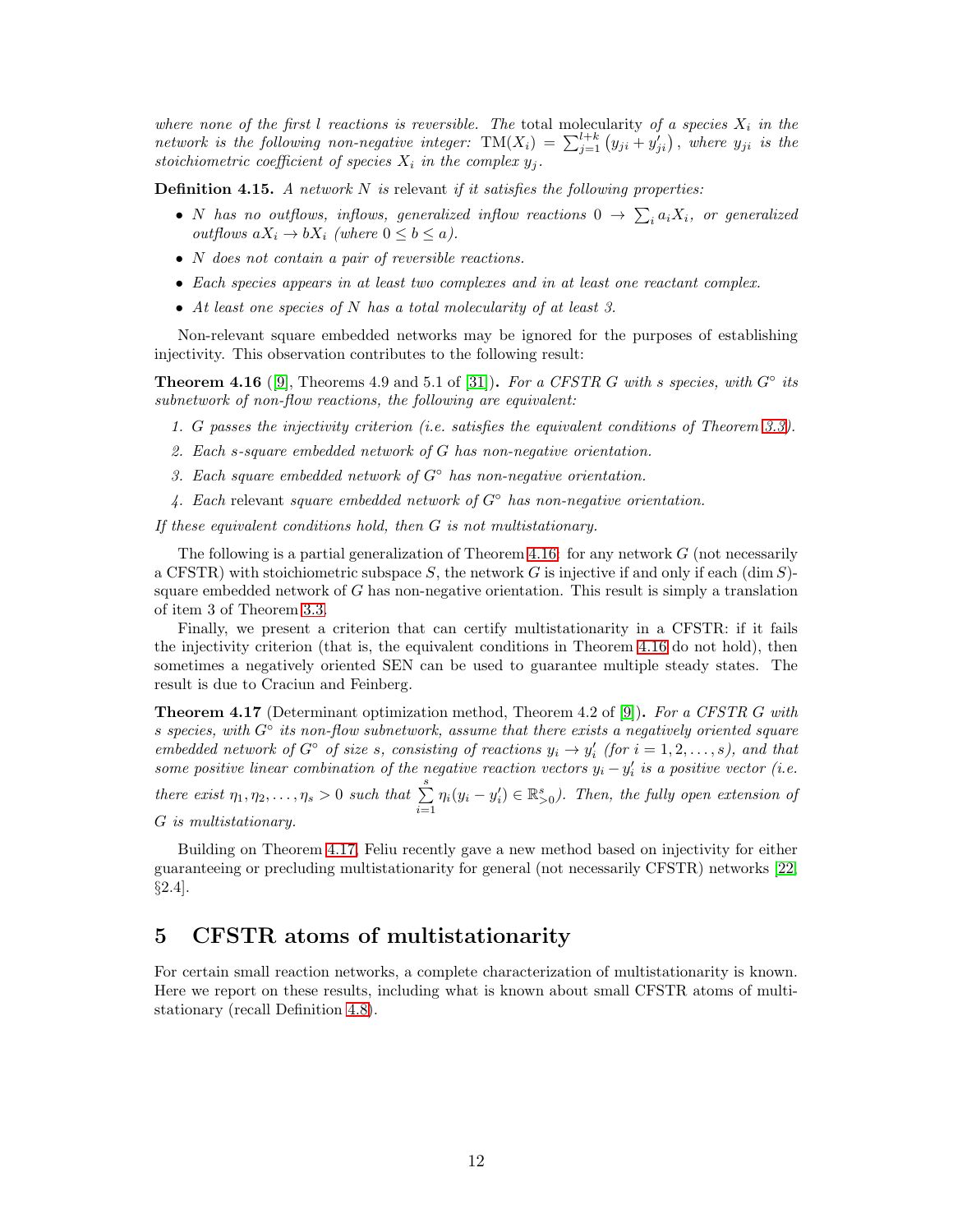where none of the first l reactions is reversible. The total molecularity of a species  $X_i$  in the network is the following non-negative integer:  $TM(X_i) = \sum_{j=1}^{l+k} (y_{ji} + y'_{ji})$ , where  $y_{ji}$  is the stoichiometric coefficient of species  $X_i$  in the complex  $y_j$ .

**Definition 4.15.** A network  $N$  is relevant if it satisfies the following properties:

- N has no outflows, inflows, generalized inflow reactions  $0 \to \sum_i a_i X_i$ , or generalized outflows  $aX_i \rightarrow bX_i$  (where  $0 \leq b \leq a$ ).
- *N* does not contain a pair of reversible reactions.
- Each species appears in at least two complexes and in at least one reactant complex.
- At least one species of N has a total molecularity of at least 3.

Non-relevant square embedded networks may be ignored for the purposes of establishing injectivity. This observation contributes to the following result:

<span id="page-11-1"></span>**Theorem 4.16** ([\[9\]](#page-19-0), Theorems 4.9 and 5.1 of [\[31\]](#page-21-8)). For a CFSTR G with s species, with  $G^{\circ}$  its subnetwork of non-flow reactions, the following are equivalent:

- 1. G passes the injectivity criterion (i.e. satisfies the equivalent conditions of Theorem [3.3\)](#page-6-0).
- 2. Each s-square embedded network of G has non-negative orientation.
- 3. Each square embedded network of  $G<sup>°</sup>$  has non-negative orientation.
- 4. Each relevant square embedded network of  $G<sup>°</sup>$  has non-negative orientation.

If these equivalent conditions hold, then G is not multistationary.

The following is a partial generalization of Theorem [4.16:](#page-11-1) for any network  $G$  (not necessarily a CFSTR) with stoichiometric subspace S, the network G is injective if and only if each  $(\dim S)$ square embedded network of  $G$  has non-negative orientation. This result is simply a translation of item 3 of Theorem [3.3.](#page-6-0)

Finally, we present a criterion that can certify multistationarity in a CFSTR: if it fails the injectivity criterion (that is, the equivalent conditions in Theorem [4.16](#page-11-1) do not hold), then sometimes a negatively oriented SEN can be used to guarantee multiple steady states. The result is due to Craciun and Feinberg.

<span id="page-11-2"></span>**Theorem 4.17** (Determinant optimization method, Theorem 4.2 of [\[9\]](#page-19-0)). For a CFSTR G with s species, with  $G^{\circ}$  its non-flow subnetwork, assume that there exists a negatively oriented square embedded network of  $G^{\circ}$  of size s, consisting of reactions  $y_i \to y'_i$  (for  $i = 1, 2, ..., s$ ), and that some positive linear combination of the negative reaction vectors  $y_i - y'_i$  is a positive vector (i.e.

there exist  $\eta_1, \eta_2, \ldots, \eta_s > 0$  such that  $\sum_{i=1}^s \eta_i(y_i - y_i') \in \mathbb{R}_{>0}^s$ ). Then, the fully open extension of

G is multistationary.

Building on Theorem [4.17,](#page-11-2) Feliu recently gave a new method based on injectivity for either guaranteeing or precluding multistationarity for general (not necessarily CFSTR) networks [\[22,](#page-20-17) §2.4].

# <span id="page-11-0"></span>5 CFSTR atoms of multistationarity

For certain small reaction networks, a complete characterization of multistationarity is known. Here we report on these results, including what is known about small CFSTR atoms of multistationary (recall Definition 4.8).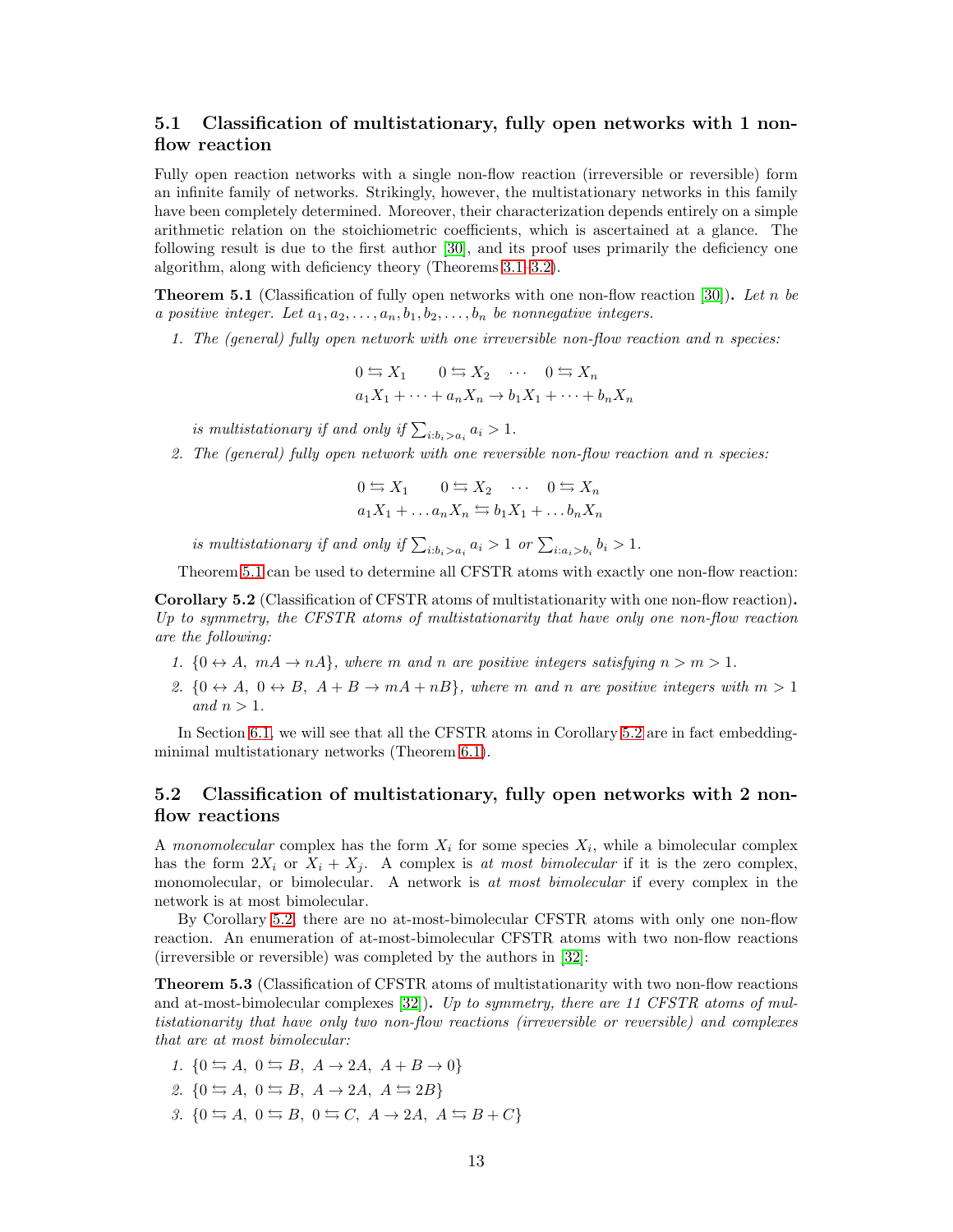## 5.1 Classification of multistationary, fully open networks with 1 nonflow reaction

Fully open reaction networks with a single non-flow reaction (irreversible or reversible) form an infinite family of networks. Strikingly, however, the multistationary networks in this family have been completely determined. Moreover, their characterization depends entirely on a simple arithmetic relation on the stoichiometric coefficients, which is ascertained at a glance. The following result is due to the first author [\[30\]](#page-20-18), and its proof uses primarily the deficiency one algorithm, along with deficiency theory (Theorems [3.1](#page-5-2)[–3.2\)](#page-5-3).

<span id="page-12-1"></span>**Theorem 5.1** (Classification of fully open networks with one non-flow reaction [\[30\]](#page-20-18)). Let n be a positive integer. Let  $a_1, a_2, \ldots, a_n, b_1, b_2, \ldots, b_n$  be nonnegative integers.

1. The (general) fully open network with one irreversible non-flow reaction and n species:

$$
0 \leftrightarrows X_1 \qquad 0 \leftrightarrows X_2 \qquad \cdots \qquad 0 \leftrightarrows X_n
$$

$$
a_1 X_1 + \cdots + a_n X_n \to b_1 X_1 + \cdots + b_n X_n
$$

is multistationary if and only if  $\sum_{i:b_i>a_i} a_i > 1$ .

2. The (general) fully open network with one reversible non-flow reaction and n species:

$$
0 \leftrightarrows X_1 \qquad 0 \leftrightarrows X_2 \qquad \cdots \qquad 0 \leftrightarrows X_n
$$

$$
a_1 X_1 + \dots a_n X_n \leftrightarrows b_1 X_1 + \dots b_n X_n
$$

is multistationary if and only if  $\sum_{i:b_i>a_i} a_i > 1$  or  $\sum_{i:a_i>b_i} b_i > 1$ .

Theorem [5.1](#page-12-1) can be used to determine all CFSTR atoms with exactly one non-flow reaction:

<span id="page-12-0"></span>Corollary 5.2 (Classification of CFSTR atoms of multistationarity with one non-flow reaction). Up to symmetry, the CFSTR atoms of multistationarity that have only one non-flow reaction are the following:

- 1.  $\{0 \leftrightarrow A, mA \rightarrow nA\}$ , where m and n are positive integers satisfying  $n > m > 1$ .
- 2.  $\{0 \leftrightarrow A, 0 \leftrightarrow B, A + B \rightarrow mA + nB\}$ , where m and n are positive integers with  $m > 1$ and  $n > 1$ .

In Section [6.1,](#page-13-1) we will see that all the CFSTR atoms in Corollary [5.2](#page-12-0) are in fact embeddingminimal multistationary networks (Theorem [6.1\)](#page-13-2).

#### 5.2 Classification of multistationary, fully open networks with 2 nonflow reactions

A monomolecular complex has the form  $X_i$  for some species  $X_i$ , while a bimolecular complex has the form  $2X_i$  or  $X_i + X_j$ . A complex is at most bimolecular if it is the zero complex, monomolecular, or bimolecular. A network is at most bimolecular if every complex in the network is at most bimolecular.

By Corollary [5.2,](#page-12-0) there are no at-most-bimolecular CFSTR atoms with only one non-flow reaction. An enumeration of at-most-bimolecular CFSTR atoms with two non-flow reactions (irreversible or reversible) was completed by the authors in [\[32\]](#page-21-9):

Theorem 5.3 (Classification of CFSTR atoms of multistationarity with two non-flow reactions and at-most-bimolecular complexes  $[32]$ ). Up to symmetry, there are 11 CFSTR atoms of multistationarity that have only two non-flow reactions (irreversible or reversible) and complexes that are at most bimolecular:

- 1.  $\{0 \leftrightarrows A, 0 \leftrightarrows B, A \rightarrow 2A, A + B \rightarrow 0\}$
- 2.  $\{0 \leftrightarrows A, 0 \leftrightarrows B, A \rightarrow 2A, A \leftrightarrows 2B\}$
- 3.  $\{0 \leftrightarrows A, 0 \leftrightarrows B, 0 \leftrightarrows C, A \rightarrow 2A, A \leftrightarrows B + C\}$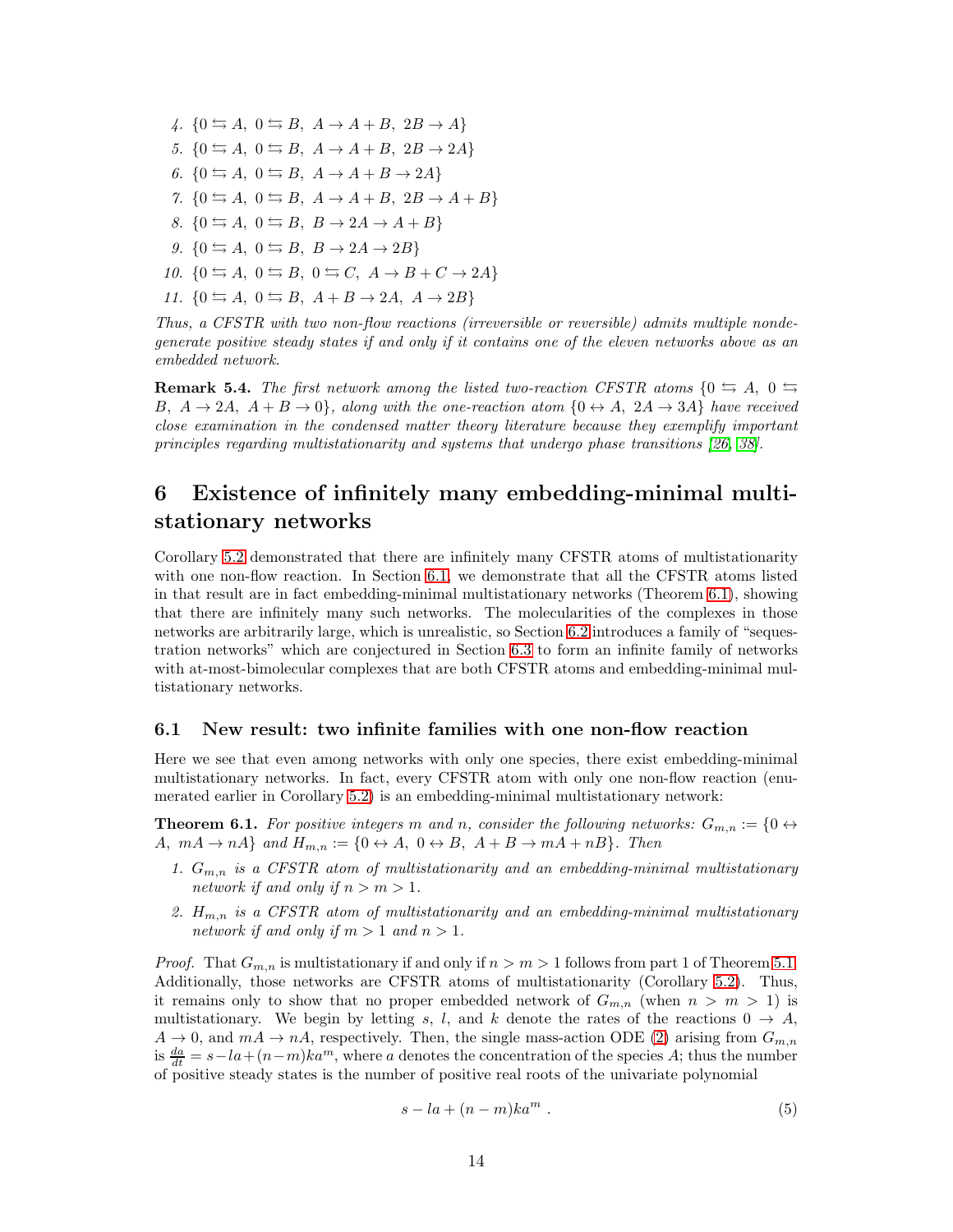4.  $\{0 \leftrightarrows A, 0 \leftrightarrows B, A \rightarrow A + B, 2B \rightarrow A\}$ 5.  $\{0 \leftrightarrows A, 0 \leftrightarrows B, A \rightarrow A + B, 2B \rightarrow 2A\}$ 6.  $\{0 \leftrightarrows A, 0 \leftrightarrows B, A \rightarrow A + B \rightarrow 2A\}$ 7.  $\{0 \leftrightarrows A, 0 \leftrightarrows B, A \rightarrow A + B, 2B \rightarrow A + B\}$ 8.  $\{0 \leftrightarrows A, 0 \leftrightarrows B, B \rightarrow 2A \rightarrow A + B\}$ 9.  $\{0 \leftrightarrows A, 0 \leftrightarrows B, B \rightarrow 2A \rightarrow 2B\}$ 10.  $\{0 \leftrightarrows A, 0 \leftrightarrows B, 0 \leftrightarrows C, A \rightarrow B + C \rightarrow 2A\}$ 11.  $\{0 \leftrightarrows A, 0 \leftrightarrows B, A + B \rightarrow 2A, A \rightarrow 2B\}$ 

Thus, a CFSTR with two non-flow reactions (irreversible or reversible) admits multiple nondegenerate positive steady states if and only if it contains one of the eleven networks above as an embedded network.

**Remark 5.4.** The first network among the listed two-reaction CFSTR atoms  $\{0 \leq A, 0 \leq \ldots\}$ B,  $A \rightarrow 2A$ ,  $A + B \rightarrow 0$ , along with the one-reaction atom  $\{0 \leftrightarrow A, 2A \rightarrow 3A\}$  have received close examination in the condensed matter theory literature because they exemplify important principles regarding multistationarity and systems that undergo phase transitions [\[26,](#page-20-19) [38\]](#page-21-10).

# <span id="page-13-0"></span>6 Existence of infinitely many embedding-minimal multistationary networks

Corollary [5.2](#page-12-0) demonstrated that there are infinitely many CFSTR atoms of multistationarity with one non-flow reaction. In Section [6.1,](#page-13-1) we demonstrate that all the CFSTR atoms listed in that result are in fact embedding-minimal multistationary networks (Theorem [6.1\)](#page-13-2), showing that there are infinitely many such networks. The molecularities of the complexes in those networks are arbitrarily large, which is unrealistic, so Section [6.2](#page-14-0) introduces a family of "sequestration networks" which are conjectured in Section [6.3](#page-16-0) to form an infinite family of networks with at-most-bimolecular complexes that are both CFSTR atoms and embedding-minimal multistationary networks.

#### <span id="page-13-1"></span>6.1 New result: two infinite families with one non-flow reaction

Here we see that even among networks with only one species, there exist embedding-minimal multistationary networks. In fact, every CFSTR atom with only one non-flow reaction (enumerated earlier in Corollary [5.2\)](#page-12-0) is an embedding-minimal multistationary network:

<span id="page-13-2"></span>**Theorem 6.1.** For positive integers m and n, consider the following networks:  $G_{m,n} := \{0 \leftrightarrow$ A,  $mA \rightarrow nA$  and  $H_{m,n} := \{0 \leftrightarrow A, 0 \leftrightarrow B, A+B \rightarrow mA + nB\}$ . Then

- 1.  $G_{m,n}$  is a CFSTR atom of multistationarity and an embedding-minimal multistationary network if and only if  $n > m > 1$ .
- 2.  $H_{m,n}$  is a CFSTR atom of multistationarity and an embedding-minimal multistationary network if and only if  $m > 1$  and  $n > 1$ .

*Proof.* That  $G_{m,n}$  is multistationary if and only if  $n > m > 1$  follows from part 1 of Theorem [5.1.](#page-12-1) Additionally, those networks are CFSTR atoms of multistationarity (Corollary [5.2\)](#page-12-0). Thus, it remains only to show that no proper embedded network of  $G_{m,n}$  (when  $n > m > 1$ ) is multistationary. We begin by letting s, l, and k denote the rates of the reactions  $0 \to A$ ,  $A \to 0$ , and  $mA \to nA$ , respectively. Then, the single mass-action ODE [\(2\)](#page-3-0) arising from  $G_{m,n}$ is  $\frac{da}{dt} = s - la + (n-m)ka^m$ , where a denotes the concentration of the species A; thus the number of positive steady states is the number of positive real roots of the univariate polynomial

<span id="page-13-3"></span>
$$
s - la + (n - m)ka^m . \tag{5}
$$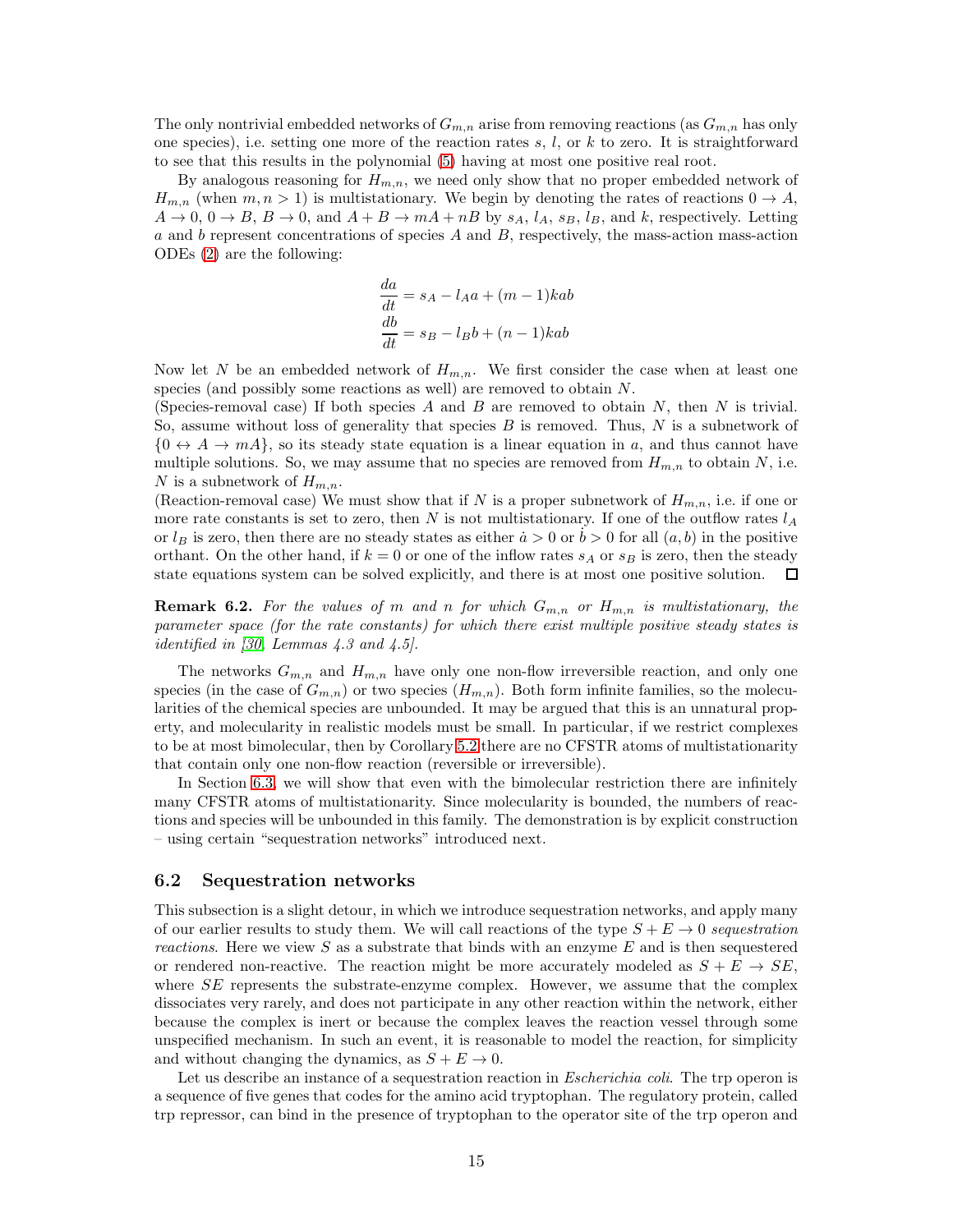The only nontrivial embedded networks of  $G_{m,n}$  arise from removing reactions (as  $G_{m,n}$  has only one species), i.e. setting one more of the reaction rates s, l, or k to zero. It is straightforward to see that this results in the polynomial [\(5\)](#page-13-3) having at most one positive real root.

By analogous reasoning for  $H_{m,n}$ , we need only show that no proper embedded network of  $H_{m,n}$  (when  $m, n > 1$ ) is multistationary. We begin by denoting the rates of reactions  $0 \to A$ ,  $A \to 0$ ,  $0 \to B$ ,  $B \to 0$ , and  $A + B \to mA + nB$  by  $s_A$ ,  $l_A$ ,  $s_B$ ,  $l_B$ , and k, respectively. Letting  $a$  and  $b$  represent concentrations of species  $A$  and  $B$ , respectively, the mass-action mass-action ODEs [\(2\)](#page-3-0) are the following:

$$
\frac{da}{dt} = s_A - l_A a + (m - 1)kab
$$

$$
\frac{db}{dt} = s_B - l_B b + (n - 1)kab
$$

Now let N be an embedded network of  $H_{m,n}$ . We first consider the case when at least one species (and possibly some reactions as well) are removed to obtain N.

(Species-removal case) If both species A and B are removed to obtain N, then N is trivial. So, assume without loss of generality that species  $B$  is removed. Thus,  $N$  is a subnetwork of  ${0 \leftrightarrow A \rightarrow mA}$ , so its steady state equation is a linear equation in a, and thus cannot have multiple solutions. So, we may assume that no species are removed from  $H_{m,n}$  to obtain N, i.e. N is a subnetwork of  $H_{m,n}$ .

(Reaction-removal case) We must show that if N is a proper subnetwork of  $H_{m,n}$ , i.e. if one or more rate constants is set to zero, then N is not multistationary. If one of the outflow rates  $l_A$ or  $l_B$  is zero, then there are no steady states as either  $\dot{a} > 0$  or  $b > 0$  for all  $(a, b)$  in the positive orthant. On the other hand, if  $k = 0$  or one of the inflow rates  $s_A$  or  $s_B$  is zero, then the steady state equations system can be solved explicitly, and there is at most one positive solution. 口

**Remark 6.2.** For the values of m and n for which  $G_{m,n}$  or  $H_{m,n}$  is multistationary, the parameter space (for the rate constants) for which there exist multiple positive steady states is *identified in [\[30,](#page-20-18) Lemmas 4.3 and 4.5].* 

The networks  $G_{m,n}$  and  $H_{m,n}$  have only one non-flow irreversible reaction, and only one species (in the case of  $G_{m,n}$ ) or two species  $(H_{m,n})$ . Both form infinite families, so the molecularities of the chemical species are unbounded. It may be argued that this is an unnatural property, and molecularity in realistic models must be small. In particular, if we restrict complexes to be at most bimolecular, then by Corollary [5.2](#page-12-0) there are no CFSTR atoms of multistationarity that contain only one non-flow reaction (reversible or irreversible).

In Section [6.3,](#page-16-0) we will show that even with the bimolecular restriction there are infinitely many CFSTR atoms of multistationarity. Since molecularity is bounded, the numbers of reactions and species will be unbounded in this family. The demonstration is by explicit construction – using certain "sequestration networks" introduced next.

#### <span id="page-14-0"></span>6.2 Sequestration networks

This subsection is a slight detour, in which we introduce sequestration networks, and apply many of our earlier results to study them. We will call reactions of the type  $S + E \rightarrow 0$  sequestration reactions. Here we view  $S$  as a substrate that binds with an enzyme  $E$  and is then sequestered or rendered non-reactive. The reaction might be more accurately modeled as  $S + E \rightarrow SE$ , where SE represents the substrate-enzyme complex. However, we assume that the complex dissociates very rarely, and does not participate in any other reaction within the network, either because the complex is inert or because the complex leaves the reaction vessel through some unspecified mechanism. In such an event, it is reasonable to model the reaction, for simplicity and without changing the dynamics, as  $S + E \rightarrow 0$ .

Let us describe an instance of a sequestration reaction in *Escherichia coli*. The trp operon is a sequence of five genes that codes for the amino acid tryptophan. The regulatory protein, called trp repressor, can bind in the presence of tryptophan to the operator site of the trp operon and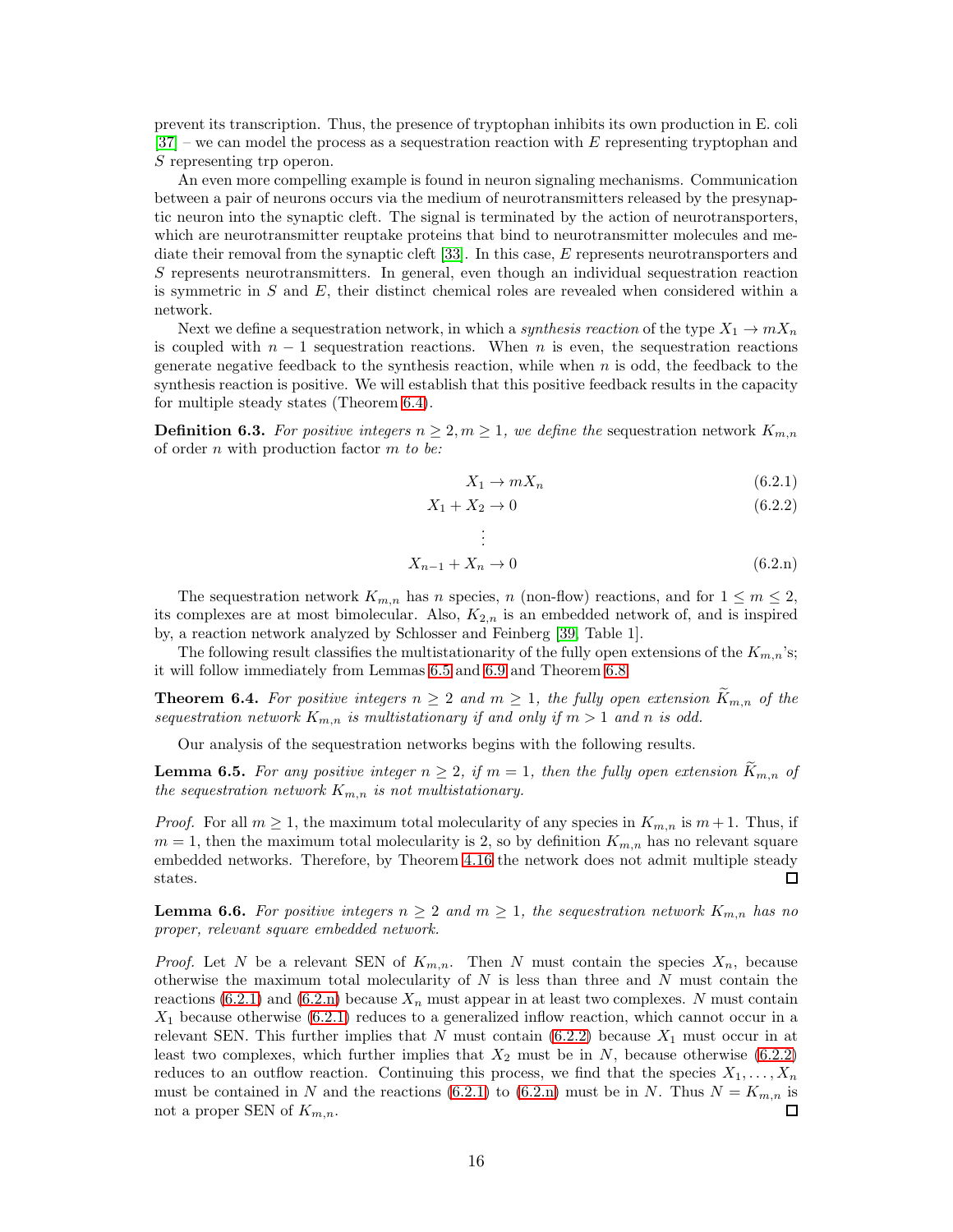prevent its transcription. Thus, the presence of tryptophan inhibits its own production in E. coli  $[37]$  – we can model the process as a sequestration reaction with E representing tryptophan and S representing trp operon.

An even more compelling example is found in neuron signaling mechanisms. Communication between a pair of neurons occurs via the medium of neurotransmitters released by the presynaptic neuron into the synaptic cleft. The signal is terminated by the action of neurotransporters, which are neurotransmitter reuptake proteins that bind to neurotransmitter molecules and mediate their removal from the synaptic cleft [\[33\]](#page-21-12). In this case, E represents neurotransporters and S represents neurotransmitters. In general, even though an individual sequestration reaction is symmetric in  $S$  and  $E$ , their distinct chemical roles are revealed when considered within a network.

Next we define a sequestration network, in which a *synthesis reaction* of the type  $X_1 \to mX_n$ is coupled with  $n-1$  sequestration reactions. When n is even, the sequestration reactions generate negative feedback to the synthesis reaction, while when  $n$  is odd, the feedback to the synthesis reaction is positive. We will establish that this positive feedback results in the capacity for multiple steady states (Theorem [6.4\)](#page-15-0).

**Definition 6.3.** For positive integers  $n \geq 2, m \geq 1$ , we define the sequestration network  $K_{m,n}$ of order  $n$  with production factor  $m$  to be:

<span id="page-15-4"></span><span id="page-15-3"></span><span id="page-15-2"></span>
$$
X_1 \to mX_n \tag{6.2.1}
$$

$$
X_1 + X_2 \to 0 \tag{6.2.2}
$$

$$
\vdots
$$
  

$$
X_{n-1} + X_n \to 0
$$
 (6.2.n)

The sequestration network  $K_{m,n}$  has n species, n (non-flow) reactions, and for  $1 \leq m \leq 2$ , its complexes are at most bimolecular. Also,  $K_{2,n}$  is an embedded network of, and is inspired by, a reaction network analyzed by Schlosser and Feinberg [\[39,](#page-21-1) Table 1].

The following result classifies the multistationarity of the fully open extensions of the  $K_{m,n}$ 's; it will follow immediately from Lemmas [6.5](#page-15-1) and [6.9](#page-16-1) and Theorem [6.8.](#page-16-2)

<span id="page-15-0"></span>**Theorem 6.4.** For positive integers  $n \geq 2$  and  $m \geq 1$ , the fully open extension  $K_{m,n}$  of the sequestration network  $K_{m,n}$  is multistationary if and only if  $m > 1$  and n is odd.

Our analysis of the sequestration networks begins with the following results.

<span id="page-15-1"></span>**Lemma 6.5.** For any positive integer  $n \geq 2$ , if  $m = 1$ , then the fully open extension  $K_{m,n}$  of the sequestration network  $K_{m,n}$  is not multistationary.

*Proof.* For all  $m \geq 1$ , the maximum total molecularity of any species in  $K_{m,n}$  is  $m+1$ . Thus, if  $m = 1$ , then the maximum total molecularity is 2, so by definition  $K_{m,n}$  has no relevant square embedded networks. Therefore, by Theorem [4.16](#page-11-1) the network does not admit multiple steady states. 口

<span id="page-15-5"></span>**Lemma 6.6.** For positive integers  $n \geq 2$  and  $m \geq 1$ , the sequestration network  $K_{m,n}$  has no proper, relevant square embedded network.

*Proof.* Let N be a relevant SEN of  $K_{m,n}$ . Then N must contain the species  $X_n$ , because otherwise the maximum total molecularity of  $N$  is less than three and  $N$  must contain the reactions [\(6.2.1\)](#page-15-2) and [\(6.2.n\)](#page-15-3) because  $X_n$  must appear in at least two complexes. N must contain  $X_1$  because otherwise  $(6.2.1)$  reduces to a generalized inflow reaction, which cannot occur in a relevant SEN. This further implies that N must contain  $(6.2.2)$  because  $X_1$  must occur in at least two complexes, which further implies that  $X_2$  must be in N, because otherwise [\(6.2.2\)](#page-15-4) reduces to an outflow reaction. Continuing this process, we find that the species  $X_1, \ldots, X_n$ must be contained in N and the reactions [\(6.2.1\)](#page-15-2) to [\(6.2.n\)](#page-15-3) must be in N. Thus  $N = K_{m,n}$  is not a proper SEN of  $K_{m,n}$ .  $\Box$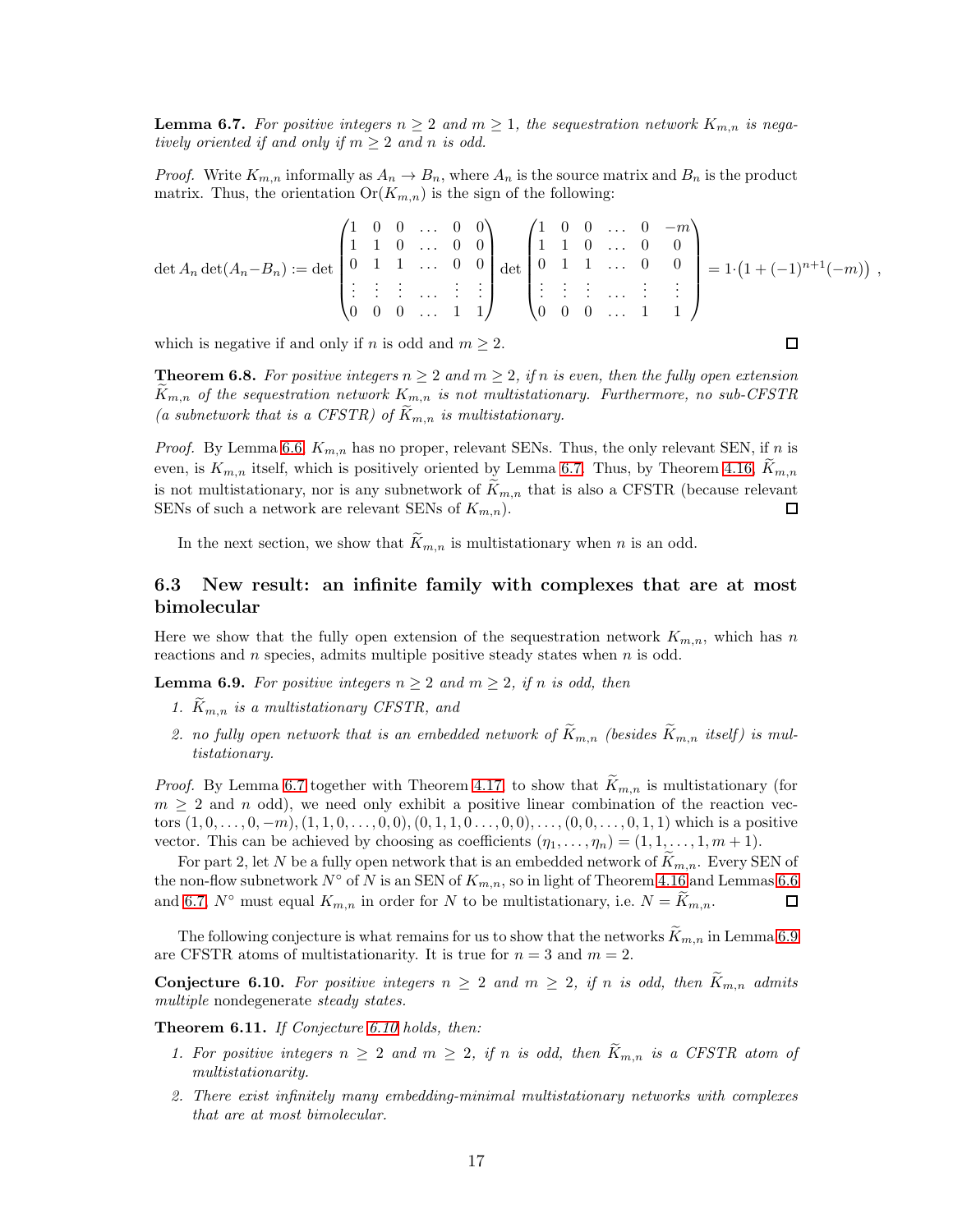<span id="page-16-3"></span>**Lemma 6.7.** For positive integers  $n \geq 2$  and  $m \geq 1$ , the sequestration network  $K_{m,n}$  is negatively oriented if and only if  $m \geq 2$  and n is odd.

*Proof.* Write  $K_{m,n}$  informally as  $A_n \to B_n$ , where  $A_n$  is the source matrix and  $B_n$  is the product matrix. Thus, the orientation  $\mathrm{Or}(K_{m,n})$  is the sign of the following:

$$
\det A_n \det(A_n - B_n) := \det \begin{pmatrix} 1 & 0 & 0 & \dots & 0 & 0 \\ 1 & 1 & 0 & \dots & 0 & 0 \\ 0 & 1 & 1 & \dots & 0 & 0 \\ \vdots & \vdots & \vdots & \dots & \vdots & \vdots \\ 0 & 0 & 0 & \dots & 1 & 1 \end{pmatrix} \det \begin{pmatrix} 1 & 0 & 0 & \dots & 0 & -m \\ 1 & 1 & 0 & \dots & 0 & 0 \\ 0 & 1 & 1 & \dots & 0 & 0 \\ \vdots & \vdots & \vdots & \dots & \vdots & \vdots \\ 0 & 0 & 0 & \dots & 1 & 1 \end{pmatrix} = 1 \cdot (1 + (-1)^{n+1}(-m)),
$$

which is negative if and only if n is odd and  $m \geq 2$ .

<span id="page-16-2"></span>**Theorem 6.8.** For positive integers  $n \geq 2$  and  $m \geq 2$ , if n is even, then the fully open extension  $K_{m,n}$  of the sequestration network  $K_{m,n}$  is not multistationary. Furthermore, no sub-CFSTR (a subnetwork that is a CFSTR) of  $K_{m,n}$  is multistationary.

*Proof.* By Lemma [6.6,](#page-15-5)  $K_{m,n}$  has no proper, relevant SENs. Thus, the only relevant SEN, if n is even, is  $K_{m,n}$  itself, which is positively oriented by Lemma [6.7.](#page-16-3) Thus, by Theorem [4.16,](#page-11-1)  $K_{m,n}$ is not multistationary, nor is any subnetwork of  $\tilde{K}_{m,n}$  that is also a CFSTR (because relevant SENs of such a network are relevant SENs of  $K_{m,n}$ ).  $\Box$ 

In the next section, we show that  $\widetilde{K}_{m,n}$  is multistationary when n is an odd.

### <span id="page-16-0"></span>6.3 New result: an infinite family with complexes that are at most bimolecular

Here we show that the fully open extension of the sequestration network  $K_{m,n}$ , which has n reactions and n species, admits multiple positive steady states when  $n$  is odd.

<span id="page-16-1"></span>**Lemma 6.9.** For positive integers  $n \geq 2$  and  $m \geq 2$ , if n is odd, then

- 1.  $K_{m,n}$  is a multistationary CFSTR, and
- 2. no fully open network that is an embedded network of  $\widetilde{K}_{m,n}$  (besides  $\widetilde{K}_{m,n}$  itself) is multistationary.

*Proof.* By Lemma [6.7](#page-16-3) together with Theorem [4.17,](#page-11-2) to show that  $K_{m,n}$  is multistationary (for  $m \geq 2$  and n odd), we need only exhibit a positive linear combination of the reaction vectors  $(1, 0, \ldots, 0, -m)$ ,  $(1, 1, 0, \ldots, 0, 0)$ ,  $(0, 1, 1, 0, \ldots, 0, 0)$ ,  $\ldots$ ,  $(0, 0, \ldots, 0, 1, 1)$  which is a positive vector. This can be achieved by choosing as coefficients  $(\eta_1, \ldots, \eta_n) = (1, 1, \ldots, 1, m + 1)$ .

For part 2, let N be a fully open network that is an embedded network of  $K_{m,n}$ . Every SEN of the non-flow subnetwork  $N^{\circ}$  of N is an SEN of  $K_{m,n}$ , so in light of Theorem [4.16](#page-11-1) and Lemmas [6.6](#page-15-5) and [6.7,](#page-16-3)  $N^{\circ}$  must equal  $K_{m,n}$  in order for N to be multistationary, i.e.  $N = \widetilde{K}_{m,n}$ .  $\Box$ 

The following conjecture is what remains for us to show that the networks  $K_{m,n}$  in Lemma [6.9](#page-16-1) are CFSTR atoms of multistationarity. It is true for  $n = 3$  and  $m = 2$ .

<span id="page-16-4"></span>**Conjecture 6.10.** For positive integers  $n \geq 2$  and  $m \geq 2$ , if n is odd, then  $\widetilde{K}_{m,n}$  admits multiple nondegenerate steady states.

Theorem 6.11. If Conjecture [6.10](#page-16-4) holds, then:

- 1. For positive integers  $n \geq 2$  and  $m \geq 2$ , if n is odd, then  $\widetilde{K}_{m,n}$  is a CFSTR atom of multistationarity.
- 2. There exist infinitely many embedding-minimal multistationary networks with complexes that are at most bimolecular.

 $\Box$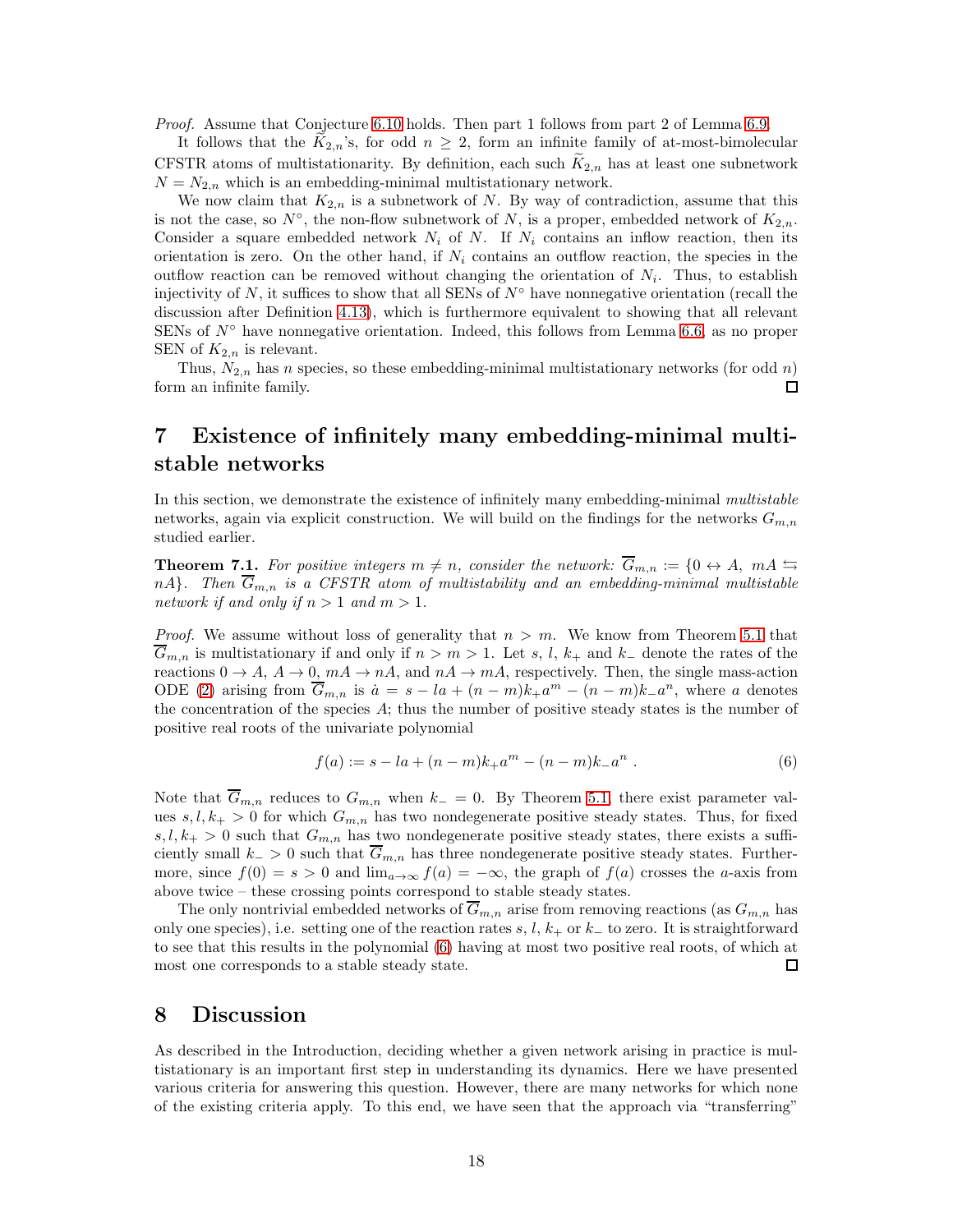Proof. Assume that Conjecture [6.10](#page-16-4) holds. Then part 1 follows from part 2 of Lemma [6.9.](#page-16-1)

It follows that the  $K_{2,n}$ 's, for odd  $n \geq 2$ , form an infinite family of at-most-bimolecular CFSTR atoms of multistationarity. By definition, each such  $K_{2,n}$  has at least one subnetwork  $N = N_{2,n}$  which is an embedding-minimal multistationary network.

We now claim that  $K_{2,n}$  is a subnetwork of N. By way of contradiction, assume that this is not the case, so  $N^{\circ}$ , the non-flow subnetwork of N, is a proper, embedded network of  $K_{2,n}$ . Consider a square embedded network  $N_i$  of N. If  $N_i$  contains an inflow reaction, then its orientation is zero. On the other hand, if  $N_i$  contains an outflow reaction, the species in the outflow reaction can be removed without changing the orientation of  $N_i$ . Thus, to establish injectivity of N, it suffices to show that all SENs of  $N<sup>°</sup>$  have nonnegative orientation (recall the discussion after Definition 4.13), which is furthermore equivalent to showing that all relevant SENs of  $N<sup>°</sup>$  have nonnegative orientation. Indeed, this follows from Lemma [6.6,](#page-15-5) as no proper SEN of  $K_{2,n}$  is relevant.

Thus,  $N_{2,n}$  has n species, so these embedding-minimal multistationary networks (for odd n) form an infinite family.  $\Box$ 

# <span id="page-17-0"></span>7 Existence of infinitely many embedding-minimal multistable networks

In this section, we demonstrate the existence of infinitely many embedding-minimal multistable networks, again via explicit construction. We will build on the findings for the networks  $G_{m,n}$ studied earlier.

**Theorem 7.1.** For positive integers  $m \neq n$ , consider the network:  $\overline{G}_{m,n} := \{0 \leftrightarrow A, m\} \leftrightarrows$ nA}. Then  $G_{m,n}$  is a CFSTR atom of multistability and an embedding-minimal multistable network if and only if  $n > 1$  and  $m > 1$ .

*Proof.* We assume without loss of generality that  $n > m$ . We know from Theorem [5.1](#page-12-1) that  $\overline{G}_{m,n}$  is multistationary if and only if  $n > m > 1$ . Let s, l, k<sub>+</sub> and k<sub>-</sub> denote the rates of the reactions  $0 \to A$ ,  $A \to 0$ ,  $mA \to nA$ , and  $nA \to mA$ , respectively. Then, the single mass-action ODE [\(2\)](#page-3-0) arising from  $\overline{G}_{m,n}$  is  $\dot{a} = s - la + (n - m)k_+a^m - (n - m)k_-a^n$ , where a denotes the concentration of the species A; thus the number of positive steady states is the number of positive real roots of the univariate polynomial

<span id="page-17-2"></span>
$$
f(a) := s - la + (n - m)k_+ a^m - (n - m)k_- a^n .
$$
 (6)

Note that  $\overline{G}_{m,n}$  reduces to  $G_{m,n}$  when  $k_-=0$ . By Theorem [5.1,](#page-12-1) there exist parameter values  $s, l, k_{+} > 0$  for which  $G_{m,n}$  has two nondegenerate positive steady states. Thus, for fixed  $s, l, k_{+} > 0$  such that  $G_{m,n}$  has two nondegenerate positive steady states, there exists a sufficiently small  $k_$  > 0 such that  $\overline{G}_{m,n}$  has three nondegenerate positive steady states. Furthermore, since  $f(0) = s > 0$  and  $\lim_{a\to\infty} f(a) = -\infty$ , the graph of  $f(a)$  crosses the a-axis from above twice – these crossing points correspond to stable steady states.

The only nontrivial embedded networks of  $\overline{G}_{m,n}$  arise from removing reactions (as  $G_{m,n}$  has only one species), i.e. setting one of the reaction rates s, l,  $k_+$  or  $k_-$  to zero. It is straightforward to see that this results in the polynomial [\(6\)](#page-17-2) having at most two positive real roots, of which at most one corresponds to a stable steady state.  $\Box$ 

## <span id="page-17-1"></span>8 Discussion

As described in the Introduction, deciding whether a given network arising in practice is multistationary is an important first step in understanding its dynamics. Here we have presented various criteria for answering this question. However, there are many networks for which none of the existing criteria apply. To this end, we have seen that the approach via "transferring"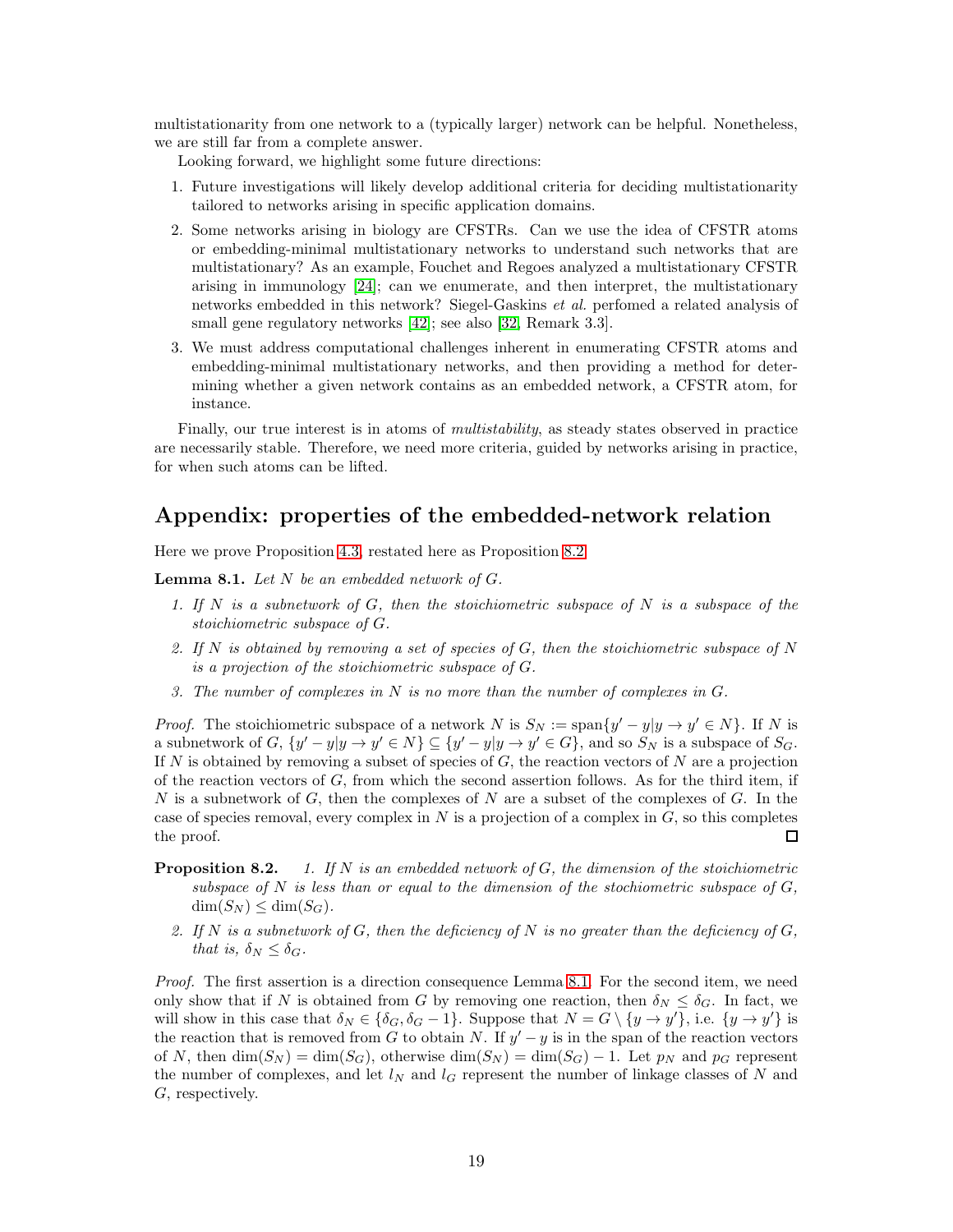multistationarity from one network to a (typically larger) network can be helpful. Nonetheless, we are still far from a complete answer.

Looking forward, we highlight some future directions:

- 1. Future investigations will likely develop additional criteria for deciding multistationarity tailored to networks arising in specific application domains.
- 2. Some networks arising in biology are CFSTRs. Can we use the idea of CFSTR atoms or embedding-minimal multistationary networks to understand such networks that are multistationary? As an example, Fouchet and Regoes analyzed a multistationary CFSTR arising in immunology [\[24\]](#page-20-20); can we enumerate, and then interpret, the multistationary networks embedded in this network? Siegel-Gaskins et al. perfomed a related analysis of small gene regulatory networks [\[42\]](#page-21-13); see also [\[32,](#page-21-9) Remark 3.3].
- 3. We must address computational challenges inherent in enumerating CFSTR atoms and embedding-minimal multistationary networks, and then providing a method for determining whether a given network contains as an embedded network, a CFSTR atom, for instance.

Finally, our true interest is in atoms of multistability, as steady states observed in practice are necessarily stable. Therefore, we need more criteria, guided by networks arising in practice, for when such atoms can be lifted.

## Appendix: properties of the embedded-network relation

Here we prove Proposition [4.3,](#page-8-4) restated here as Proposition 8.2.

<span id="page-18-0"></span>**Lemma 8.1.** Let  $N$  be an embedded network of  $G$ .

- 1. If N is a subnetwork of G, then the stoichiometric subspace of N is a subspace of the stoichiometric subspace of G.
- 2. If N is obtained by removing a set of species of G, then the stoichiometric subspace of N is a projection of the stoichiometric subspace of G.
- 3. The number of complexes in  $N$  is no more than the number of complexes in  $G$ .

*Proof.* The stoichiometric subspace of a network N is  $S_N := \text{span}\{y' - y | y \to y' \in N\}$ . If N is a subnetwork of  $G, \{y'-y | y \to y' \in N\} \subseteq \{y'-y | y \to y' \in G\}$ , and so  $S_N$  is a subspace of  $S_G$ . If  $N$  is obtained by removing a subset of species of  $G$ , the reaction vectors of  $N$  are a projection of the reaction vectors of  $G$ , from which the second assertion follows. As for the third item, if N is a subnetwork of G, then the complexes of N are a subset of the complexes of G. In the case of species removal, every complex in  $N$  is a projection of a complex in  $G$ , so this completes the proof. П

- **Proposition 8.2.** 1. If N is an embedded network of G, the dimension of the stoichiometric subspace of N is less than or equal to the dimension of the stochiometric subspace of  $G$ ,  $\dim(S_N) \leq \dim(S_G)$ .
	- 2. If N is a subnetwork of G, then the deficiency of N is no greater than the deficiency of  $G$ , that is,  $\delta_N \leq \delta_G$ .

Proof. The first assertion is a direction consequence Lemma [8.1.](#page-18-0) For the second item, we need only show that if N is obtained from G by removing one reaction, then  $\delta_N \leq \delta_G$ . In fact, we will show in this case that  $\delta_N \in \{\delta_G, \delta_G - 1\}$ . Suppose that  $N = G \setminus \{y \to y'\}$ , i.e.  $\{y \to y'\}$  is the reaction that is removed from G to obtain N. If  $y' - y$  is in the span of the reaction vectors of N, then  $\dim(S_N) = \dim(S_G)$ , otherwise  $\dim(S_N) = \dim(S_G) - 1$ . Let  $p_N$  and  $p_G$  represent the number of complexes, and let  $l_N$  and  $l_G$  represent the number of linkage classes of N and G, respectively.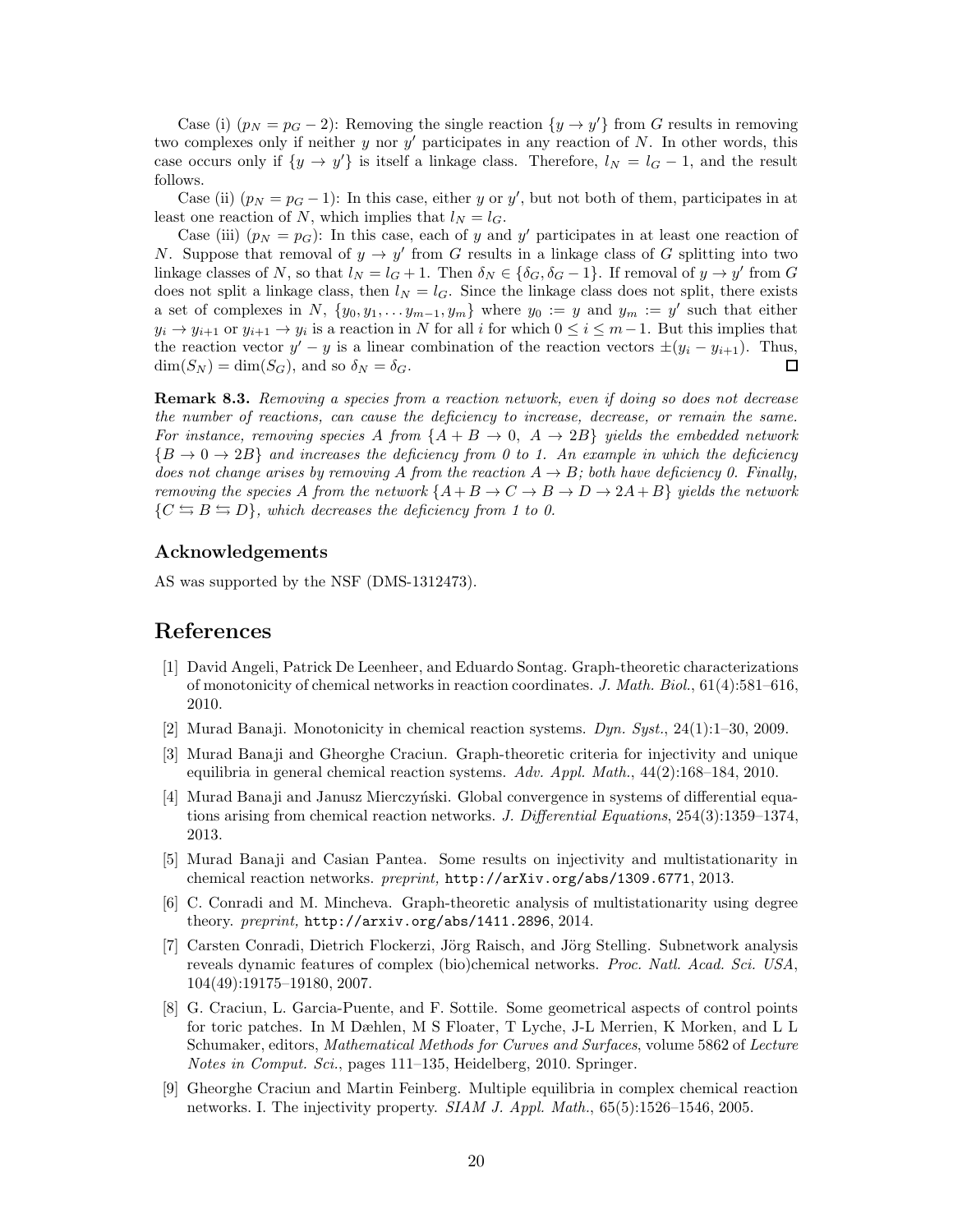Case (i)  $(p_N = p_G - 2)$ : Removing the single reaction  $\{y \to y'\}$  from G results in removing two complexes only if neither  $y$  nor  $y'$  participates in any reaction of  $N$ . In other words, this case occurs only if  $\{y \to y'\}$  is itself a linkage class. Therefore,  $l_N = l_G - 1$ , and the result follows.

Case (ii)  $(p_N = p_G - 1)$ : In this case, either y or y', but not both of them, participates in at least one reaction of N, which implies that  $l_N = l_G$ .

Case (iii)  $(p_N = p_G)$ : In this case, each of y and y' participates in at least one reaction of N. Suppose that removal of  $y \to y'$  from G results in a linkage class of G splitting into two linkage classes of N, so that  $l_N = l_G + 1$ . Then  $\delta_N \in {\delta_G, \delta_G - 1}$ . If removal of  $y \to y'$  from G does not split a linkage class, then  $l_N = l_G$ . Since the linkage class does not split, there exists a set of complexes in N,  $\{y_0, y_1, \ldots y_{m-1}, y_m\}$  where  $y_0 := y$  and  $y_m := y'$  such that either  $y_i \to y_{i+1}$  or  $y_{i+1} \to y_i$  is a reaction in N for all i for which  $0 \le i \le m-1$ . But this implies that the reaction vector  $y' - y$  is a linear combination of the reaction vectors  $\pm (y_i - y_{i+1})$ . Thus,  $\dim(S_N) = \dim(S_G)$ , and so  $\delta_N = \delta_G$ .  $\Box$ 

**Remark 8.3.** Removing a species from a reaction network, even if doing so does not decrease the number of reactions, can cause the deficiency to increase, decrease, or remain the same. For instance, removing species A from  $\{A + B \to 0, A \to 2B\}$  yields the embedded network  ${B \rightarrow 0 \rightarrow 2B}$  and increases the deficiency from 0 to 1. An example in which the deficiency does not change arises by removing A from the reaction  $A \rightarrow B$ ; both have deficiency 0. Finally, removing the species A from the network  $\{A + B \to C \to B \to D \to 2A + B\}$  yields the network  $\{C \leftrightarrows B \leftrightarrows D\}$ , which decreases the deficiency from 1 to 0.

#### Acknowledgements

AS was supported by the NSF (DMS-1312473).

## <span id="page-19-4"></span>References

- [1] David Angeli, Patrick De Leenheer, and Eduardo Sontag. Graph-theoretic characterizations of monotonicity of chemical networks in reaction coordinates. J. Math. Biol., 61(4):581–616, 2010.
- <span id="page-19-5"></span><span id="page-19-3"></span>[2] Murad Banaji. Monotonicity in chemical reaction systems. Dyn. Syst., 24(1):1–30, 2009.
- [3] Murad Banaji and Gheorghe Craciun. Graph-theoretic criteria for injectivity and unique equilibria in general chemical reaction systems.  $Adv.$  Appl. Math.,  $44(2):168-184$ ,  $2010$ .
- <span id="page-19-6"></span>[4] Murad Banaji and Janusz Mierczyński. Global convergence in systems of differential equations arising from chemical reaction networks. J. Differential Equations, 254(3):1359–1374, 2013.
- <span id="page-19-1"></span>[5] Murad Banaji and Casian Pantea. Some results on injectivity and multistationarity in chemical reaction networks. preprint, http://arXiv.org/abs/1309.6771, 2013.
- <span id="page-19-7"></span>[6] C. Conradi and M. Mincheva. Graph-theoretic analysis of multistationarity using degree theory. preprint, http://arxiv.org/abs/1411.2896, 2014.
- <span id="page-19-8"></span>[7] Carsten Conradi, Dietrich Flockerzi, Jörg Raisch, and Jörg Stelling. Subnetwork analysis reveals dynamic features of complex (bio)chemical networks. Proc. Natl. Acad. Sci. USA, 104(49):19175–19180, 2007.
- <span id="page-19-2"></span>[8] G. Craciun, L. Garcia-Puente, and F. Sottile. Some geometrical aspects of control points for toric patches. In M Dæhlen, M S Floater, T Lyche, J-L Merrien, K Morken, and L L Schumaker, editors, Mathematical Methods for Curves and Surfaces, volume 5862 of Lecture Notes in Comput. Sci., pages 111–135, Heidelberg, 2010. Springer.
- <span id="page-19-0"></span>[9] Gheorghe Craciun and Martin Feinberg. Multiple equilibria in complex chemical reaction networks. I. The injectivity property. SIAM J. Appl. Math., 65(5):1526–1546, 2005.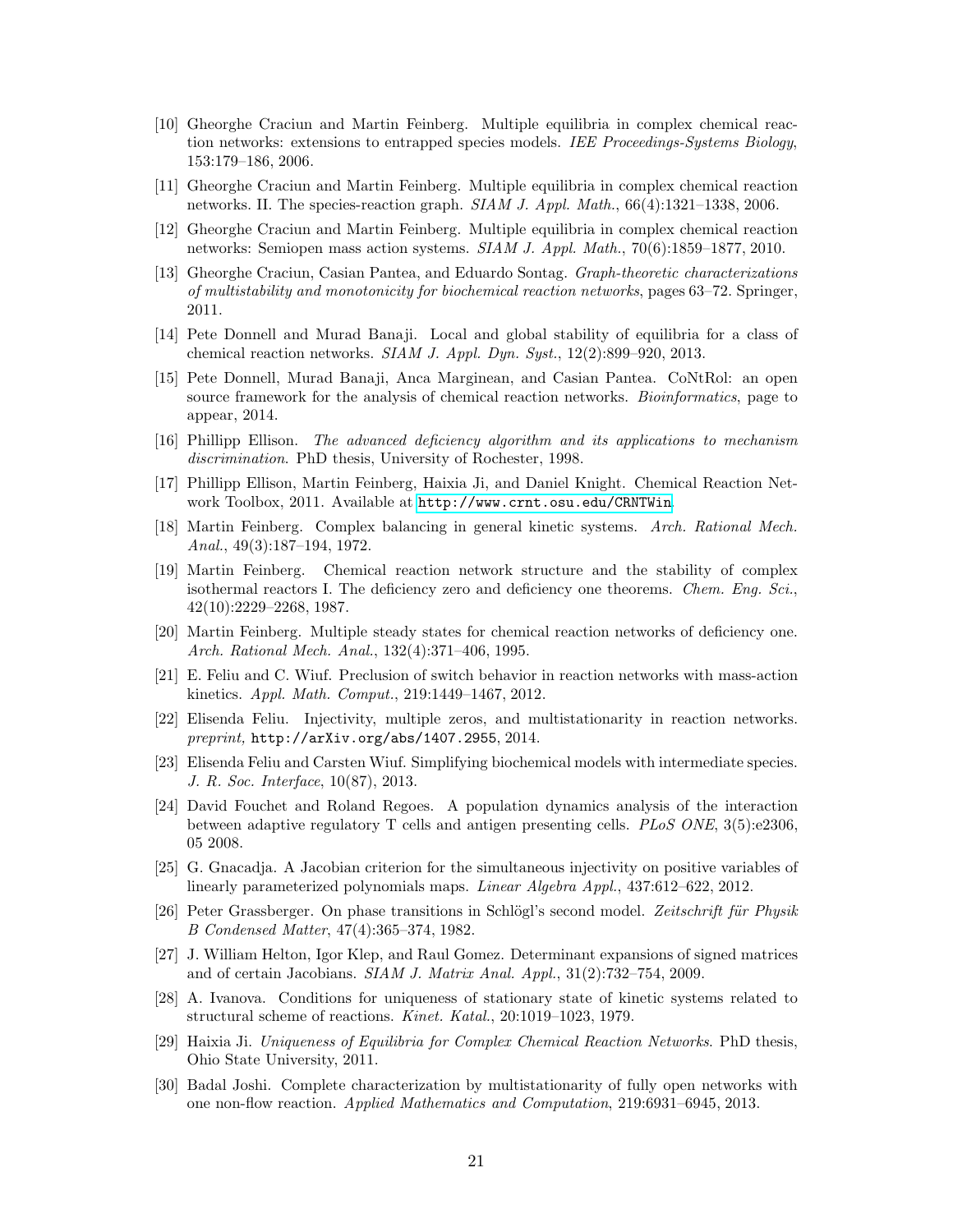- <span id="page-20-7"></span>[10] Gheorghe Craciun and Martin Feinberg. Multiple equilibria in complex chemical reaction networks: extensions to entrapped species models. IEE Proceedings-Systems Biology, 153:179–186, 2006.
- <span id="page-20-9"></span><span id="page-20-8"></span>[11] Gheorghe Craciun and Martin Feinberg. Multiple equilibria in complex chemical reaction networks. II. The species-reaction graph. SIAM J. Appl. Math.,  $66(4):1321-1338, 2006$ .
- [12] Gheorghe Craciun and Martin Feinberg. Multiple equilibria in complex chemical reaction networks: Semiopen mass action systems. SIAM J. Appl. Math., 70(6):1859–1877, 2010.
- <span id="page-20-13"></span>[13] Gheorghe Craciun, Casian Pantea, and Eduardo Sontag. Graph-theoretic characterizations of multistability and monotonicity for biochemical reaction networks, pages 63–72. Springer, 2011.
- <span id="page-20-16"></span>[14] Pete Donnell and Murad Banaji. Local and global stability of equilibria for a class of chemical reaction networks.  $SIAM J. Appl. Dyn. Syst., 12(2):899-920, 2013.$
- <span id="page-20-15"></span>[15] Pete Donnell, Murad Banaji, Anca Marginean, and Casian Pantea. CoNtRol: an open source framework for the analysis of chemical reaction networks. *Bioinformatics*, page to appear, 2014.
- <span id="page-20-6"></span><span id="page-20-3"></span>[16] Phillipp Ellison. The advanced deficiency algorithm and its applications to mechanism discrimination. PhD thesis, University of Rochester, 1998.
- <span id="page-20-2"></span>[17] Phillipp Ellison, Martin Feinberg, Haixia Ji, and Daniel Knight. Chemical Reaction Network Toolbox, 2011. Available at <http://www.crnt.osu.edu/CRNTWin>.
- [18] Martin Feinberg. Complex balancing in general kinetic systems. Arch. Rational Mech. Anal., 49(3):187–194, 1972.
- <span id="page-20-0"></span>[19] Martin Feinberg. Chemical reaction network structure and the stability of complex isothermal reactors I. The deficiency zero and deficiency one theorems. Chem. Eng. Sci., 42(10):2229–2268, 1987.
- <span id="page-20-4"></span>[20] Martin Feinberg. Multiple steady states for chemical reaction networks of deficiency one. Arch. Rational Mech. Anal., 132(4):371–406, 1995.
- <span id="page-20-17"></span><span id="page-20-11"></span>[21] E. Feliu and C. Wiuf. Preclusion of switch behavior in reaction networks with mass-action kinetics. Appl. Math. Comput., 219:1449–1467, 2012.
- [22] Elisenda Feliu. Injectivity, multiple zeros, and multistationarity in reaction networks. preprint, http://arXiv.org/abs/1407.2955, 2014.
- <span id="page-20-1"></span>[23] Elisenda Feliu and Carsten Wiuf. Simplifying biochemical models with intermediate species. J. R. Soc. Interface, 10(87), 2013.
- <span id="page-20-20"></span>[24] David Fouchet and Roland Regoes. A population dynamics analysis of the interaction between adaptive regulatory T cells and antigen presenting cells. PLoS ONE, 3(5):e2306, 05 2008.
- <span id="page-20-10"></span>[25] G. Gnacadja. A Jacobian criterion for the simultaneous injectivity on positive variables of linearly parameterized polynomials maps. Linear Algebra Appl., 437:612–622, 2012.
- <span id="page-20-19"></span>[26] Peter Grassberger. On phase transitions in Schlögl's second model. Zeitschrift für Physik B Condensed Matter, 47(4):365–374, 1982.
- <span id="page-20-12"></span>[27] J. William Helton, Igor Klep, and Raul Gomez. Determinant expansions of signed matrices and of certain Jacobians. SIAM J. Matrix Anal. Appl., 31(2):732–754, 2009.
- <span id="page-20-14"></span>[28] A. Ivanova. Conditions for uniqueness of stationary state of kinetic systems related to structural scheme of reactions. Kinet. Katal., 20:1019–1023, 1979.
- <span id="page-20-5"></span>[29] Haixia Ji. Uniqueness of Equilibria for Complex Chemical Reaction Networks. PhD thesis, Ohio State University, 2011.
- <span id="page-20-18"></span>[30] Badal Joshi. Complete characterization by multistationarity of fully open networks with one non-flow reaction. Applied Mathematics and Computation, 219:6931–6945, 2013.